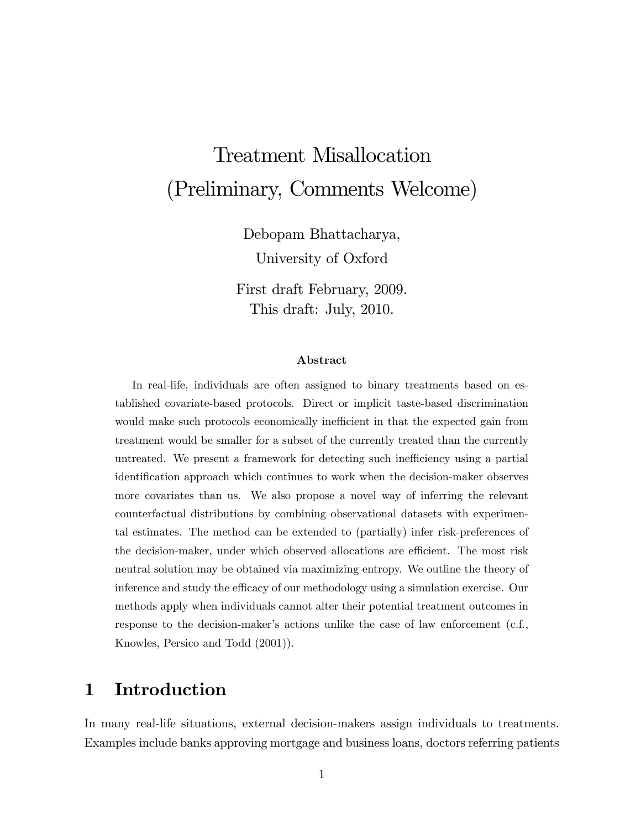# Treatment Misallocation (Preliminary, Comments Welcome)

Debopam Bhattacharya,

University of Oxford

First draft February, 2009. This draft: July, 2010.

#### Abstract

In real-life, individuals are often assigned to binary treatments based on established covariate-based protocols. Direct or implicit taste-based discrimination would make such protocols economically inefficient in that the expected gain from treatment would be smaller for a subset of the currently treated than the currently untreated. We present a framework for detecting such inefficiency using a partial identiÖcation approach which continues to work when the decision-maker observes more covariates than us. We also propose a novel way of inferring the relevant counterfactual distributions by combining observational datasets with experimental estimates. The method can be extended to (partially) infer risk-preferences of the decision-maker, under which observed allocations are efficient. The most risk neutral solution may be obtained via maximizing entropy. We outline the theory of inference and study the efficacy of our methodology using a simulation exercise. Our methods apply when individuals cannot alter their potential treatment outcomes in response to the decision-maker's actions unlike the case of law enforcement (c.f., Knowles, Persico and Todd (2001)).

## 1 Introduction

In many real-life situations, external decision-makers assign individuals to treatments. Examples include banks approving mortgage and business loans, doctors referring patients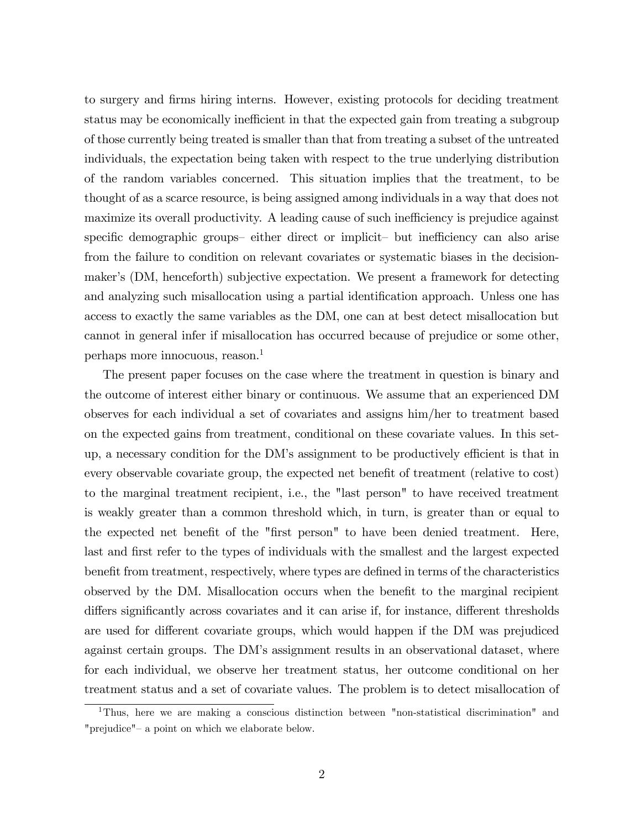to surgery and Örms hiring interns. However, existing protocols for deciding treatment status may be economically inefficient in that the expected gain from treating a subgroup of those currently being treated is smaller than that from treating a subset of the untreated individuals, the expectation being taken with respect to the true underlying distribution of the random variables concerned. This situation implies that the treatment, to be thought of as a scarce resource, is being assigned among individuals in a way that does not maximize its overall productivity. A leading cause of such inefficiency is prejudice against specific demographic groups— either direct or implicit— but inefficiency can also arise from the failure to condition on relevant covariates or systematic biases in the decisionmaker's (DM, henceforth) subjective expectation. We present a framework for detecting and analyzing such misallocation using a partial identification approach. Unless one has access to exactly the same variables as the DM, one can at best detect misallocation but cannot in general infer if misallocation has occurred because of prejudice or some other, perhaps more innocuous, reason.<sup>1</sup>

The present paper focuses on the case where the treatment in question is binary and the outcome of interest either binary or continuous. We assume that an experienced DM observes for each individual a set of covariates and assigns him/her to treatment based on the expected gains from treatment, conditional on these covariate values. In this setup, a necessary condition for the DM's assignment to be productively efficient is that in every observable covariate group, the expected net benefit of treatment (relative to cost) to the marginal treatment recipient, i.e., the "last person" to have received treatment is weakly greater than a common threshold which, in turn, is greater than or equal to the expected net benefit of the "first person" to have been denied treatment. Here, last and first refer to the types of individuals with the smallest and the largest expected benefit from treatment, respectively, where types are defined in terms of the characteristics observed by the DM. Misallocation occurs when the benefit to the marginal recipient differs significantly across covariates and it can arise if, for instance, different thresholds are used for different covariate groups, which would happen if the DM was prejudiced against certain groups. The DM's assignment results in an observational dataset, where for each individual, we observe her treatment status, her outcome conditional on her treatment status and a set of covariate values. The problem is to detect misallocation of

<sup>&</sup>lt;sup>1</sup>Thus, here we are making a conscious distinction between "non-statistical discrimination" and "prejudice" – a point on which we elaborate below.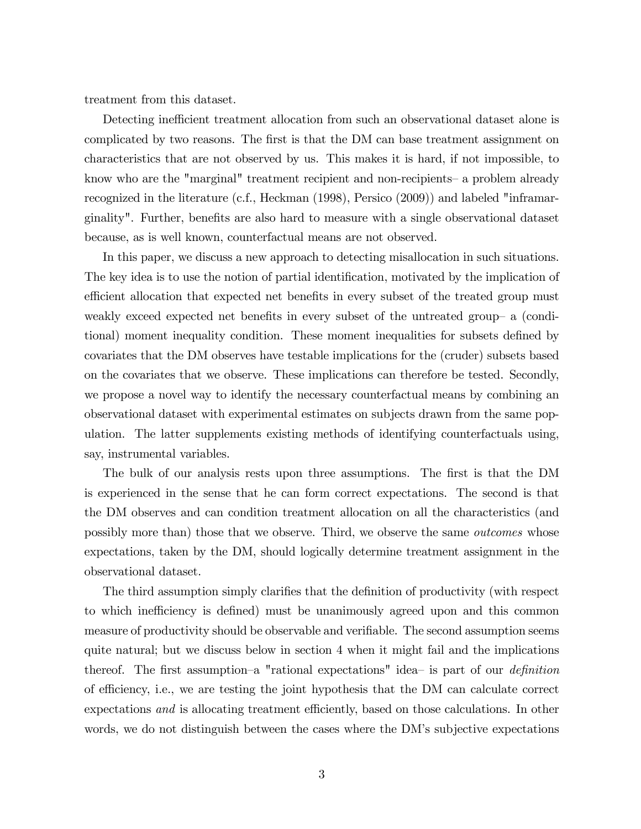treatment from this dataset.

Detecting inefficient treatment allocation from such an observational dataset alone is complicated by two reasons. The first is that the DM can base treatment assignment on characteristics that are not observed by us. This makes it is hard, if not impossible, to know who are the "marginal" treatment recipient and non-recipients— a problem already recognized in the literature (c.f., Heckman (1998), Persico (2009)) and labeled "inframarginality". Further, benefits are also hard to measure with a single observational dataset because, as is well known, counterfactual means are not observed.

In this paper, we discuss a new approach to detecting misallocation in such situations. The key idea is to use the notion of partial identification, motivated by the implication of efficient allocation that expected net benefits in every subset of the treated group must weakly exceed expected net benefits in every subset of the untreated group- a (conditional) moment inequality condition. These moment inequalities for subsets defined by covariates that the DM observes have testable implications for the (cruder) subsets based on the covariates that we observe. These implications can therefore be tested. Secondly, we propose a novel way to identify the necessary counterfactual means by combining an observational dataset with experimental estimates on subjects drawn from the same population. The latter supplements existing methods of identifying counterfactuals using, say, instrumental variables.

The bulk of our analysis rests upon three assumptions. The first is that the DM is experienced in the sense that he can form correct expectations. The second is that the DM observes and can condition treatment allocation on all the characteristics (and possibly more than) those that we observe. Third, we observe the same outcomes whose expectations, taken by the DM, should logically determine treatment assignment in the observational dataset.

The third assumption simply clarifies that the definition of productivity (with respect to which inefficiency is defined) must be unanimously agreed upon and this common measure of productivity should be observable and verifiable. The second assumption seems quite natural; but we discuss below in section 4 when it might fail and the implications thereof. The first assumption–a "rational expectations" idea– is part of our *definition* of e¢ ciency, i.e., we are testing the joint hypothesis that the DM can calculate correct expectations and is allocating treatment efficiently, based on those calculations. In other words, we do not distinguish between the cases where the DM's subjective expectations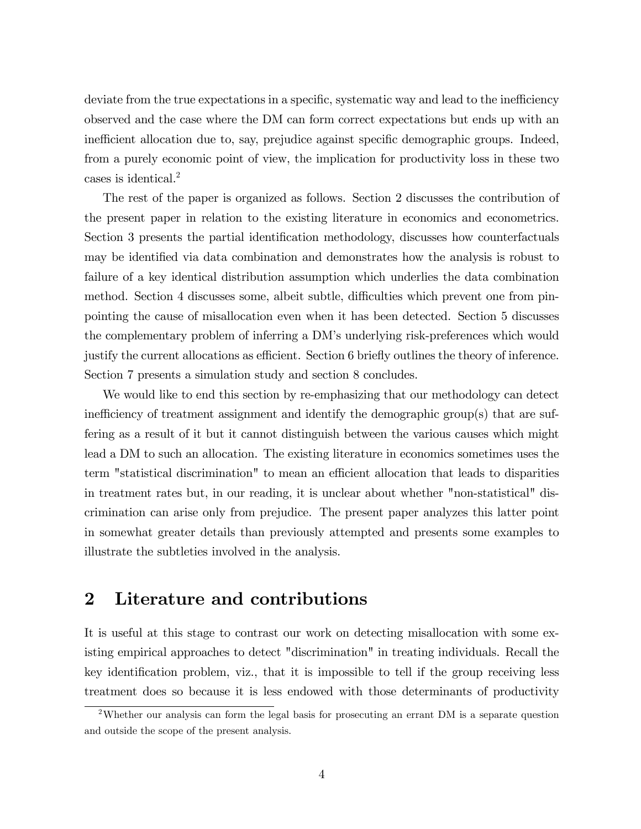deviate from the true expectations in a specific, systematic way and lead to the inefficiency observed and the case where the DM can form correct expectations but ends up with an inefficient allocation due to, say, prejudice against specific demographic groups. Indeed, from a purely economic point of view, the implication for productivity loss in these two cases is identical.<sup>2</sup>

The rest of the paper is organized as follows. Section 2 discusses the contribution of the present paper in relation to the existing literature in economics and econometrics. Section 3 presents the partial identification methodology, discusses how counterfactuals may be identified via data combination and demonstrates how the analysis is robust to failure of a key identical distribution assumption which underlies the data combination method. Section 4 discusses some, albeit subtle, difficulties which prevent one from pinpointing the cause of misallocation even when it has been detected. Section 5 discusses the complementary problem of inferring a DMís underlying risk-preferences which would justify the current allocations as efficient. Section 6 briefly outlines the theory of inference. Section 7 presents a simulation study and section 8 concludes.

We would like to end this section by re-emphasizing that our methodology can detect inefficiency of treatment assignment and identify the demographic group(s) that are suffering as a result of it but it cannot distinguish between the various causes which might lead a DM to such an allocation. The existing literature in economics sometimes uses the term "statistical discrimination" to mean an efficient allocation that leads to disparities in treatment rates but, in our reading, it is unclear about whether "non-statistical" discrimination can arise only from prejudice. The present paper analyzes this latter point in somewhat greater details than previously attempted and presents some examples to illustrate the subtleties involved in the analysis.

## 2 Literature and contributions

It is useful at this stage to contrast our work on detecting misallocation with some existing empirical approaches to detect "discrimination" in treating individuals. Recall the key identification problem, viz., that it is impossible to tell if the group receiving less treatment does so because it is less endowed with those determinants of productivity

<sup>2</sup>Whether our analysis can form the legal basis for prosecuting an errant DM is a separate question and outside the scope of the present analysis.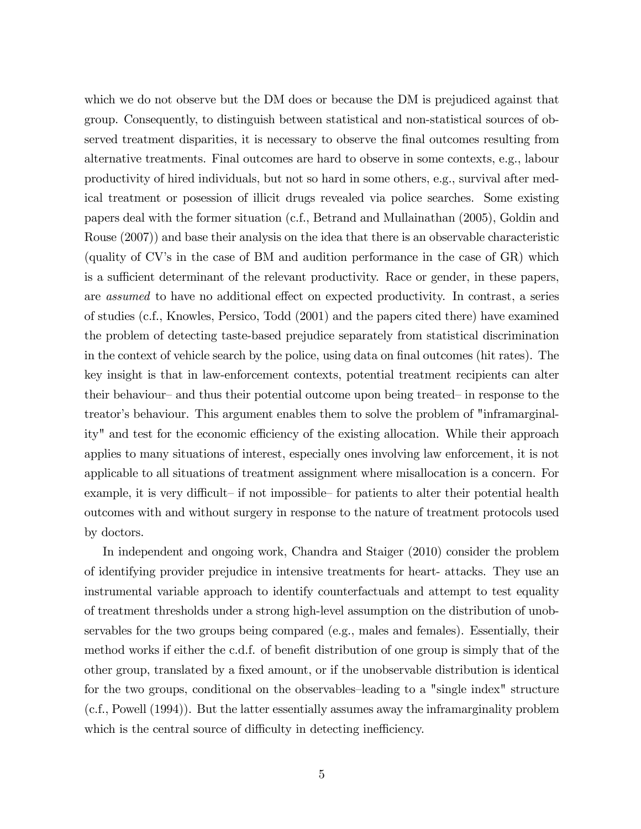which we do not observe but the DM does or because the DM is prejudiced against that group. Consequently, to distinguish between statistical and non-statistical sources of observed treatment disparities, it is necessary to observe the Önal outcomes resulting from alternative treatments. Final outcomes are hard to observe in some contexts, e.g., labour productivity of hired individuals, but not so hard in some others, e.g., survival after medical treatment or posession of illicit drugs revealed via police searches. Some existing papers deal with the former situation (c.f., Betrand and Mullainathan (2005), Goldin and Rouse (2007)) and base their analysis on the idea that there is an observable characteristic (quality of  $CV$ 's in the case of BM and audition performance in the case of  $GR$ ) which is a sufficient determinant of the relevant productivity. Race or gender, in these papers, are *assumed* to have no additional effect on expected productivity. In contrast, a series of studies (c.f., Knowles, Persico, Todd (2001) and the papers cited there) have examined the problem of detecting taste-based prejudice separately from statistical discrimination in the context of vehicle search by the police, using data on final outcomes (hit rates). The key insight is that in law-enforcement contexts, potential treatment recipients can alter their behaviour– and thus their potential outcome upon being treated– in response to the treator's behaviour. This argument enables them to solve the problem of "inframarginality" and test for the economic efficiency of the existing allocation. While their approach applies to many situations of interest, especially ones involving law enforcement, it is not applicable to all situations of treatment assignment where misallocation is a concern. For example, it is very difficult– if not impossible– for patients to alter their potential health outcomes with and without surgery in response to the nature of treatment protocols used by doctors.

In independent and ongoing work, Chandra and Staiger (2010) consider the problem of identifying provider prejudice in intensive treatments for heart- attacks. They use an instrumental variable approach to identify counterfactuals and attempt to test equality of treatment thresholds under a strong high-level assumption on the distribution of unobservables for the two groups being compared (e.g., males and females). Essentially, their method works if either the c.d.f. of benefit distribution of one group is simply that of the other group, translated by a fixed amount, or if the unobservable distribution is identical for the two groups, conditional on the observables–leading to a "single index" structure (c.f., Powell (1994)). But the latter essentially assumes away the inframarginality problem which is the central source of difficulty in detecting inefficiency.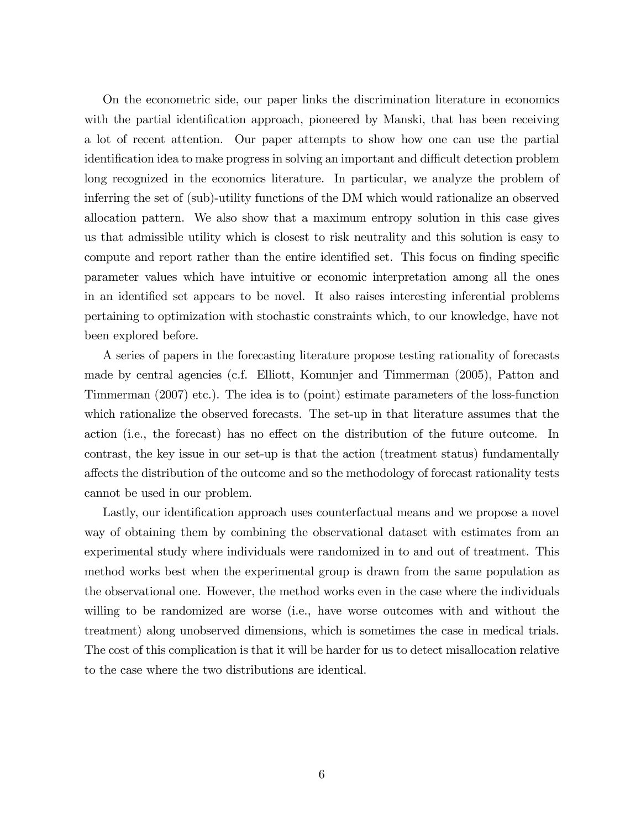On the econometric side, our paper links the discrimination literature in economics with the partial identification approach, pioneered by Manski, that has been receiving a lot of recent attention. Our paper attempts to show how one can use the partial identification idea to make progress in solving an important and difficult detection problem long recognized in the economics literature. In particular, we analyze the problem of inferring the set of (sub)-utility functions of the DM which would rationalize an observed allocation pattern. We also show that a maximum entropy solution in this case gives us that admissible utility which is closest to risk neutrality and this solution is easy to compute and report rather than the entire identified set. This focus on finding specific parameter values which have intuitive or economic interpretation among all the ones in an identified set appears to be novel. It also raises interesting inferential problems pertaining to optimization with stochastic constraints which, to our knowledge, have not been explored before.

A series of papers in the forecasting literature propose testing rationality of forecasts made by central agencies (c.f. Elliott, Komunjer and Timmerman (2005), Patton and Timmerman (2007) etc.). The idea is to (point) estimate parameters of the loss-function which rationalize the observed forecasts. The set-up in that literature assumes that the action (i.e., the forecast) has no effect on the distribution of the future outcome. In contrast, the key issue in our set-up is that the action (treatment status) fundamentally a§ects the distribution of the outcome and so the methodology of forecast rationality tests cannot be used in our problem.

Lastly, our identification approach uses counterfactual means and we propose a novel way of obtaining them by combining the observational dataset with estimates from an experimental study where individuals were randomized in to and out of treatment. This method works best when the experimental group is drawn from the same population as the observational one. However, the method works even in the case where the individuals willing to be randomized are worse (i.e., have worse outcomes with and without the treatment) along unobserved dimensions, which is sometimes the case in medical trials. The cost of this complication is that it will be harder for us to detect misallocation relative to the case where the two distributions are identical.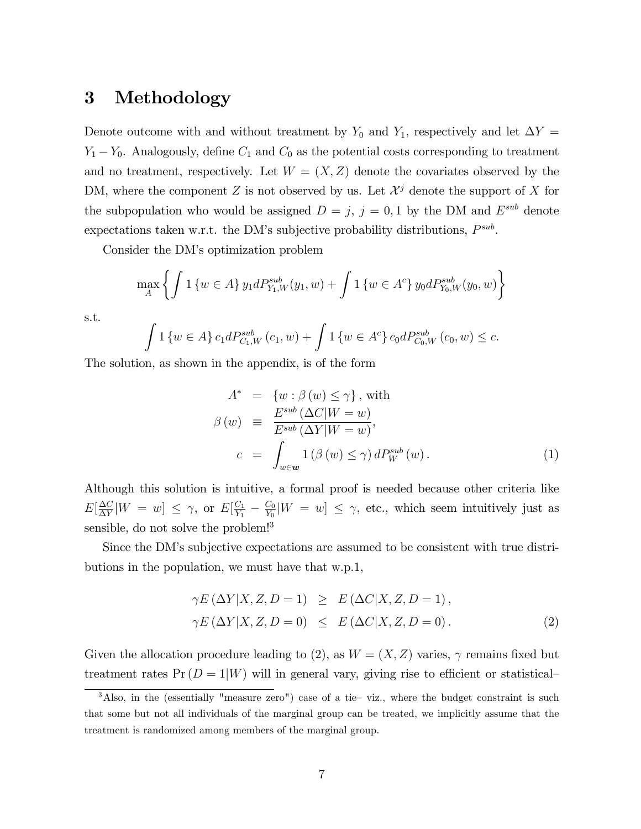## 3 Methodology

Denote outcome with and without treatment by  $Y_0$  and  $Y_1$ , respectively and let  $\Delta Y =$  $Y_1 - Y_0$ . Analogously, define  $C_1$  and  $C_0$  as the potential costs corresponding to treatment and no treatment, respectively. Let  $W = (X, Z)$  denote the covariates observed by the DM, where the component Z is not observed by us. Let  $\mathcal{X}^j$  denote the support of X for the subpopulation who would be assigned  $D = j$ ,  $j = 0, 1$  by the DM and  $E^{sub}$  denote expectations taken w.r.t. the DM's subjective probability distributions,  $P^{sub}$ .

Consider the DM's optimization problem

$$
\max_{A} \left\{ \int 1 \left\{ w \in A \right\} y_1 dP_{Y_1, W}^{sub}(y_1, w) + \int 1 \left\{ w \in A^c \right\} y_0 dP_{Y_0, W}^{sub}(y_0, w) \right\}
$$

s.t.

$$
\int 1\left\{w \in A\right\} c_1 dP_{C_1,W}^{sub}(c_1, w) + \int 1\left\{w \in A^c\right\} c_0 dP_{C_0,W}^{sub}(c_0, w) \leq c.
$$

The solution, as shown in the appendix, is of the form

$$
A^* = \{w : \beta(w) \le \gamma\}, \text{ with}
$$
  
\n
$$
\beta(w) \equiv \frac{E^{sub}(\Delta C|W=w)}{E^{sub}(\Delta Y|W=w)},
$$
  
\n
$$
c = \int_{w \in \mathbf{w}} 1(\beta(w) \le \gamma) dP_W^{sub}(w).
$$
\n(1)

Although this solution is intuitive, a formal proof is needed because other criteria like  $E[\frac{\Delta C}{\Delta V}$  $\frac{\Delta C}{\Delta Y}|W = w] \leq \gamma$ , or  $E[\frac{C_1}{Y_1}]$  $\frac{C_1}{Y_1} - \frac{C_0}{Y_0}$  $\frac{C_0}{Y_0}[W = w] \leq \gamma$ , etc., which seem intuitively just as sensible, do not solve the problem!<sup>3</sup>

Since the DMís subjective expectations are assumed to be consistent with true distributions in the population, we must have that w.p.1,

$$
\gamma E\left(\Delta Y|X,Z,D=1\right) \ge E\left(\Delta C|X,Z,D=1\right),
$$
  

$$
\gamma E\left(\Delta Y|X,Z,D=0\right) \le E\left(\Delta C|X,Z,D=0\right).
$$
 (2)

Given the allocation procedure leading to (2), as  $W = (X, Z)$  varies,  $\gamma$  remains fixed but treatment rates  $Pr(D = 1|W)$  will in general vary, giving rise to efficient or statistical

 $3$ Also, in the (essentially "measure zero") case of a tie–viz., where the budget constraint is such that some but not all individuals of the marginal group can be treated, we implicitly assume that the treatment is randomized among members of the marginal group.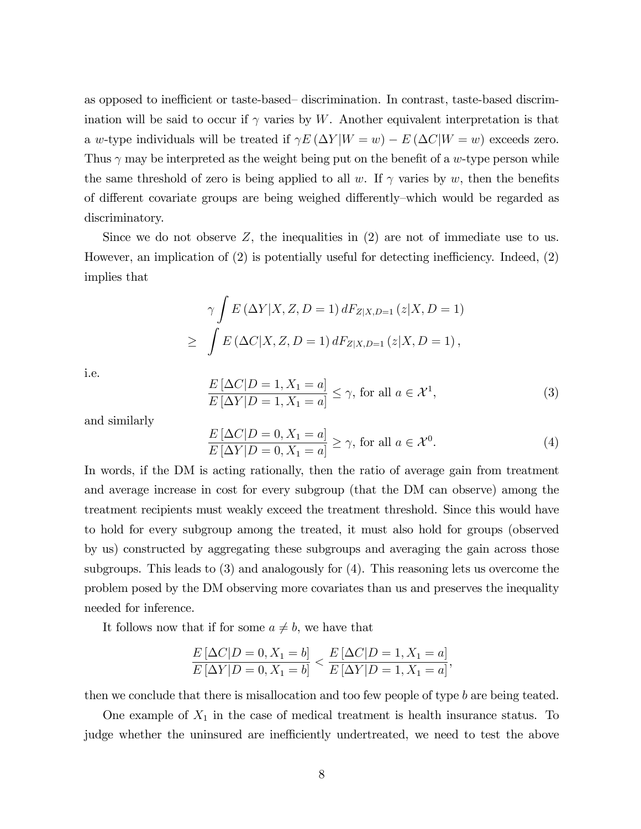as opposed to inefficient or taste-based—discrimination. In contrast, taste-based discrimination will be said to occur if  $\gamma$  varies by W. Another equivalent interpretation is that a w-type individuals will be treated if  $\gamma E(\Delta Y | W = w) - E(\Delta C | W = w)$  exceeds zero. Thus  $\gamma$  may be interpreted as the weight being put on the benefit of a w-type person while the same threshold of zero is being applied to all w. If  $\gamma$  varies by w, then the benefits of different covariate groups are being weighed differently—which would be regarded as discriminatory.

Since we do not observe  $Z$ , the inequalities in  $(2)$  are not of immediate use to us. However, an implication of  $(2)$  is potentially useful for detecting inefficiency. Indeed,  $(2)$ implies that

$$
\gamma \int E(\Delta Y | X, Z, D = 1) dF_{Z|X, D=1} (z | X, D = 1)
$$
  
\n
$$
\geq \int E(\Delta C | X, Z, D = 1) dF_{Z|X, D=1} (z | X, D = 1),
$$

i.e.

$$
\frac{E\left[\Delta C|D=1, X_1=a\right]}{E\left[\Delta Y|D=1, X_1=a\right]} \le \gamma, \text{ for all } a \in \mathcal{X}^1,
$$
\n(3)

and similarly

$$
\frac{E\left[\Delta C|D=0, X_1=a\right]}{E\left[\Delta Y|D=0, X_1=a\right]} \ge \gamma, \text{ for all } a \in \mathcal{X}^0.
$$
\n
$$
(4)
$$

In words, if the DM is acting rationally, then the ratio of average gain from treatment and average increase in cost for every subgroup (that the DM can observe) among the treatment recipients must weakly exceed the treatment threshold. Since this would have to hold for every subgroup among the treated, it must also hold for groups (observed by us) constructed by aggregating these subgroups and averaging the gain across those subgroups. This leads to (3) and analogously for (4). This reasoning lets us overcome the problem posed by the DM observing more covariates than us and preserves the inequality needed for inference.

It follows now that if for some  $a \neq b$ , we have that

$$
\frac{E[\Delta C|D=0, X_1=b]}{E[\Delta Y|D=0, X_1=b]} < \frac{E[\Delta C|D=1, X_1=a]}{E[\Delta Y|D=1, X_1=a]},
$$

then we conclude that there is misallocation and too few people of type b are being teated.

One example of  $X_1$  in the case of medical treatment is health insurance status. To judge whether the uninsured are inefficiently undertreated, we need to test the above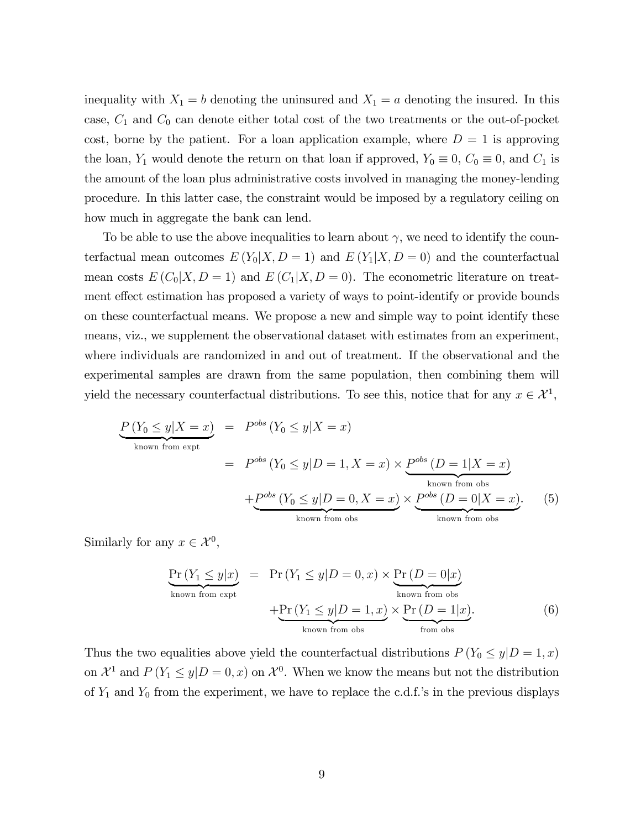inequality with  $X_1 = b$  denoting the uninsured and  $X_1 = a$  denoting the insured. In this case,  $C_1$  and  $C_0$  can denote either total cost of the two treatments or the out-of-pocket cost, borne by the patient. For a loan application example, where  $D = 1$  is approving the loan,  $Y_1$  would denote the return on that loan if approved,  $Y_0 \equiv 0$ ,  $C_0 \equiv 0$ , and  $C_1$  is the amount of the loan plus administrative costs involved in managing the money-lending procedure. In this latter case, the constraint would be imposed by a regulatory ceiling on how much in aggregate the bank can lend.

To be able to use the above inequalities to learn about  $\gamma$ , we need to identify the counterfactual mean outcomes  $E(Y_0|X, D=1)$  and  $E(Y_1|X, D=0)$  and the counterfactual mean costs  $E(C_0|X, D=1)$  and  $E(C_1|X, D=0)$ . The econometric literature on treatment effect estimation has proposed a variety of ways to point-identify or provide bounds on these counterfactual means. We propose a new and simple way to point identify these means, viz., we supplement the observational dataset with estimates from an experiment, where individuals are randomized in and out of treatment. If the observational and the experimental samples are drawn from the same population, then combining them will yield the necessary counterfactual distributions. To see this, notice that for any  $x \in \mathcal{X}^1$ ,

$$
\underbrace{P(Y_0 \le y | X = x)}_{\text{known from expt}} = P^{obs} (Y_0 \le y | X = x)
$$
\n
$$
= P^{obs} (Y_0 \le y | D = 1, X = x) \times \underbrace{P^{obs} (D = 1 | X = x)}_{\text{known from obs}}
$$
\n
$$
+ \underbrace{P^{obs} (Y_0 \le y | D = 0, X = x)}_{\text{known from obs}} \times \underbrace{P^{obs} (D = 0 | X = x)}_{\text{known from obs}}.
$$
\n(5)

Similarly for any  $x \in \mathcal{X}^0$ ,

$$
\underbrace{\Pr(Y_1 \le y|x)}_{\text{known from expt}} = \Pr(Y_1 \le y|D=0, x) \times \underbrace{\Pr(D=0|x)}_{\text{known from obs}} + \underbrace{\Pr(Y_1 \le y|D=1, x)}_{\text{known from obs}} \times \underbrace{\Pr(D=1|x)}_{\text{from obs}}.
$$
\n(6)

Thus the two equalities above yield the counterfactual distributions  $P(Y_0 \leq y | D = 1, x)$ on  $\mathcal{X}^1$  and  $P(Y_1 \leq y | D = 0, x)$  on  $\mathcal{X}^0$ . When we know the means but not the distribution of  $Y_1$  and  $Y_0$  from the experiment, we have to replace the c.d.f.'s in the previous displays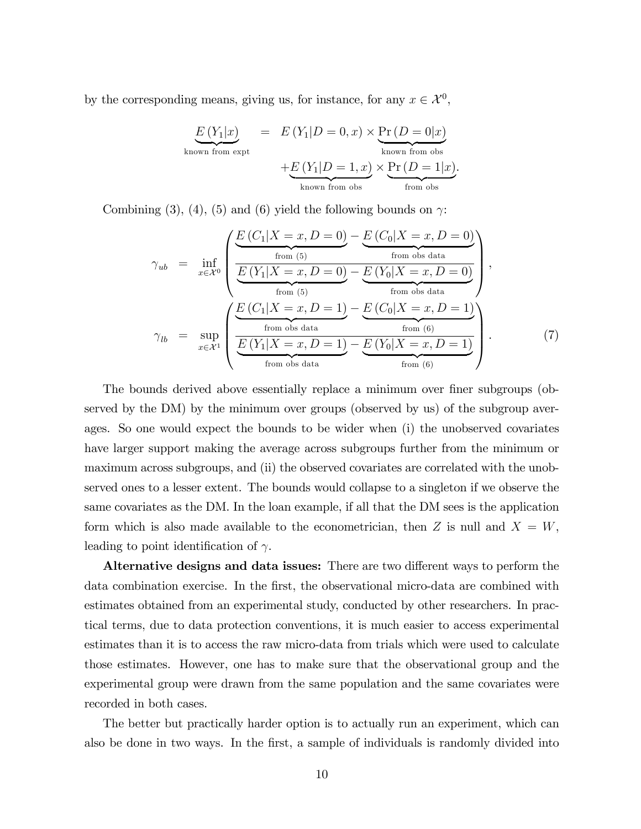by the corresponding means, giving us, for instance, for any  $x \in \mathcal{X}^0$ ,

$$
E(Y_1|x) = E(Y_1|D = 0, x) \times \underbrace{\Pr(D = 0|x)}_{\text{known from obs}}
$$

$$
+ E(Y_1|D = 1, x) \times \underbrace{\Pr(D = 0|x)}_{\text{known from obs}}
$$

$$
+ E(Y_1|D = 1, x) \times \underbrace{\Pr(D = 1|x)}_{\text{from obs}}.
$$

Combining (3), (4), (5) and (6) yield the following bounds on  $\gamma$ :

$$
\gamma_{ub} = \inf_{x \in \mathcal{X}^0} \left( \frac{E(C_1|X=x, D=0) - E(C_0|X=x, D=0)}{\underbrace{E(Y_1|X=x, D=0)}_{\text{from (5)}} - \underbrace{E(Y_0|X=x, D=0)}_{\text{from obs data}} \right),
$$
\n
$$
\gamma_{lb} = \sup_{x \in \mathcal{X}^1} \left( \frac{E(C_1|X=x, D=1) - E(C_0|X=x, D=1)}{\underbrace{E(Y_1|X=x, D=1)}_{\text{from obs data}} - \underbrace{E(C_0|X=x, D=1)}_{\text{from (6)}} \right).
$$
\n(7)

The bounds derived above essentially replace a minimum over finer subgroups (observed by the DM) by the minimum over groups (observed by us) of the subgroup averages. So one would expect the bounds to be wider when (i) the unobserved covariates have larger support making the average across subgroups further from the minimum or maximum across subgroups, and (ii) the observed covariates are correlated with the unobserved ones to a lesser extent. The bounds would collapse to a singleton if we observe the same covariates as the DM. In the loan example, if all that the DM sees is the application form which is also made available to the econometrician, then Z is null and  $X = W$ , leading to point identification of  $\gamma$ .

Alternative designs and data issues: There are two different ways to perform the data combination exercise. In the first, the observational micro-data are combined with estimates obtained from an experimental study, conducted by other researchers. In practical terms, due to data protection conventions, it is much easier to access experimental estimates than it is to access the raw micro-data from trials which were used to calculate those estimates. However, one has to make sure that the observational group and the experimental group were drawn from the same population and the same covariates were recorded in both cases.

The better but practically harder option is to actually run an experiment, which can also be done in two ways. In the first, a sample of individuals is randomly divided into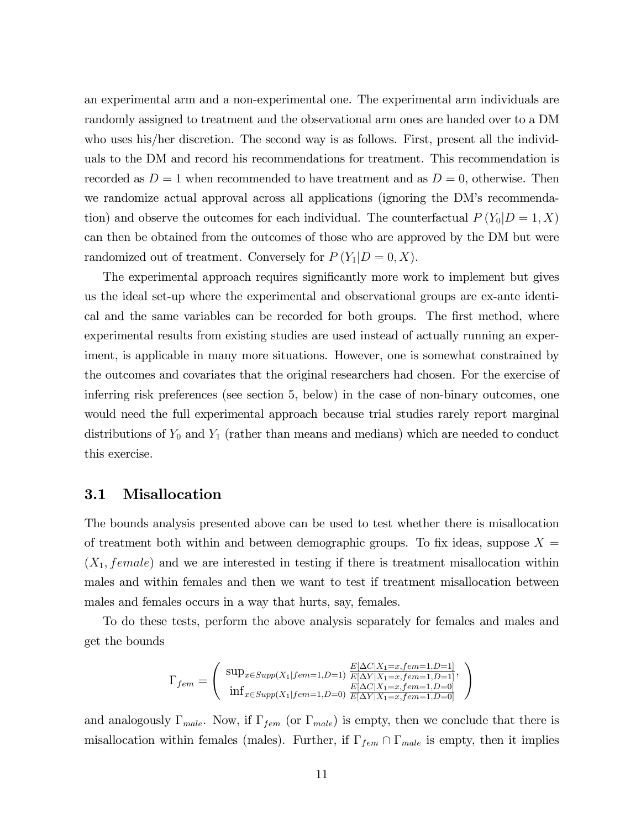an experimental arm and a non-experimental one. The experimental arm individuals are randomly assigned to treatment and the observational arm ones are handed over to a DM who uses his/her discretion. The second way is as follows. First, present all the individuals to the DM and record his recommendations for treatment. This recommendation is recorded as  $D = 1$  when recommended to have treatment and as  $D = 0$ , otherwise. Then we randomize actual approval across all applications (ignoring the DM's recommendation) and observe the outcomes for each individual. The counterfactual  $P(Y_0|D=1, X)$ can then be obtained from the outcomes of those who are approved by the DM but were randomized out of treatment. Conversely for  $P(Y_1|D=0, X)$ .

The experimental approach requires significantly more work to implement but gives us the ideal set-up where the experimental and observational groups are ex-ante identical and the same variables can be recorded for both groups. The first method, where experimental results from existing studies are used instead of actually running an experiment, is applicable in many more situations. However, one is somewhat constrained by the outcomes and covariates that the original researchers had chosen. For the exercise of inferring risk preferences (see section 5, below) in the case of non-binary outcomes, one would need the full experimental approach because trial studies rarely report marginal distributions of  $Y_0$  and  $Y_1$  (rather than means and medians) which are needed to conduct this exercise.

#### 3.1 Misallocation

The bounds analysis presented above can be used to test whether there is misallocation of treatment both within and between demographic groups. To fix ideas, suppose  $X =$  $(X_1, female)$  and we are interested in testing if there is treatment misallocation within males and within females and then we want to test if treatment misallocation between males and females occurs in a way that hurts, say, females.

To do these tests, perform the above analysis separately for females and males and get the bounds

$$
\Gamma_{fem} = \left( \begin{array}{c} \sup_{x \in Supp(X_1 | fem=1, D=1)} \frac{E[\Delta C | X_1 = x, fem=1, D=1]}{E[\Delta Y | X_1 = x, fem=1, D=1]}, \\ \inf_{x \in Supp(X_1 | fem=1, D=0)} \frac{E[\Delta C | X_1 = x, fem=1, D=0]}{E[\Delta Y | X_1 = x, fem=1, D=0]} \end{array} \right)
$$

and analogously  $\Gamma_{male}$ . Now, if  $\Gamma_{fem}$  (or  $\Gamma_{male}$ ) is empty, then we conclude that there is misallocation within females (males). Further, if  $\Gamma_{fem} \cap \Gamma_{male}$  is empty, then it implies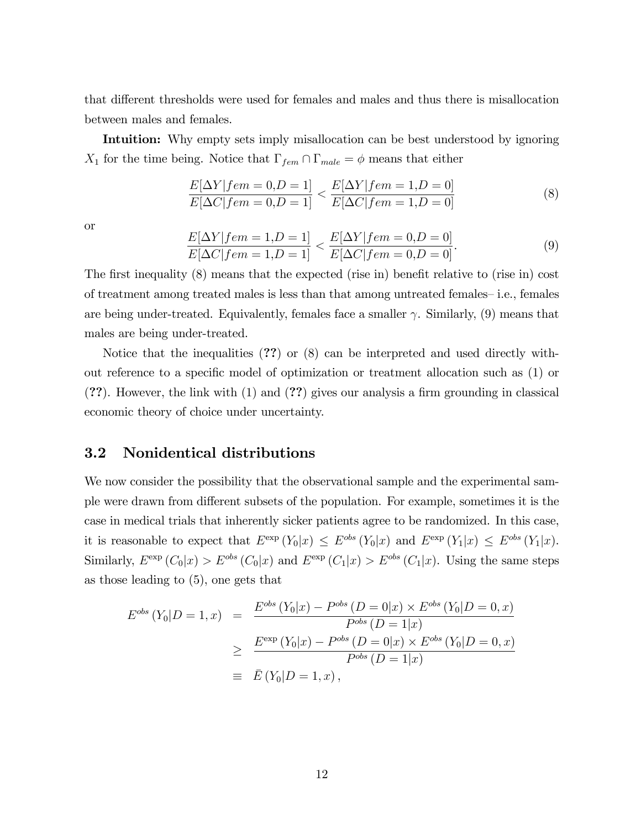that different thresholds were used for females and males and thus there is misallocation between males and females.

Intuition: Why empty sets imply misallocation can be best understood by ignoring  $X_1$  for the time being. Notice that  $\Gamma_{fem} \cap \Gamma_{male} = \phi$  means that either

$$
\frac{E[\Delta Y | fem = 0, D = 1]}{E[\Delta C | fem = 0, D = 1]} < \frac{E[\Delta Y | fem = 1, D = 0]}{E[\Delta C | fem = 1, D = 0]} \tag{8}
$$

or

$$
\frac{E[\Delta Y | fem = 1, D = 1]}{E[\Delta C | fem = 1, D = 1]} < \frac{E[\Delta Y | fem = 0, D = 0]}{E[\Delta C | fem = 0, D = 0]}.\n\tag{9}
$$

The first inequality  $(8)$  means that the expected (rise in) benefit relative to (rise in) cost of treatment among treated males is less than that among untreated females– i.e., females are being under-treated. Equivalently, females face a smaller  $\gamma$ . Similarly, (9) means that males are being under-treated.

Notice that the inequalities (??) or (8) can be interpreted and used directly without reference to a speciÖc model of optimization or treatment allocation such as (1) or  $(?)$ . However, the link with  $(1)$  and  $(?)$  gives our analysis a firm grounding in classical economic theory of choice under uncertainty.

## 3.2 Nonidentical distributions

We now consider the possibility that the observational sample and the experimental sample were drawn from different subsets of the population. For example, sometimes it is the case in medical trials that inherently sicker patients agree to be randomized. In this case, it is reasonable to expect that  $E^{\text{exp}}(Y_0|x) \leq E^{\text{obs}}(Y_0|x)$  and  $E^{\text{exp}}(Y_1|x) \leq E^{\text{obs}}(Y_1|x)$ . Similarly,  $E^{\text{exp}}(C_0|x) > E^{obs}(C_0|x)$  and  $E^{\text{exp}}(C_1|x) > E^{obs}(C_1|x)$ . Using the same steps as those leading to (5), one gets that

$$
E^{obs} (Y_0|D = 1, x) = \frac{E^{obs} (Y_0|x) - P^{obs} (D = 0|x) \times E^{obs} (Y_0|D = 0, x)}{P^{obs} (D = 1|x)}
$$
  

$$
\geq \frac{E^{exp} (Y_0|x) - P^{obs} (D = 0|x) \times E^{obs} (Y_0|D = 0, x)}{P^{obs} (D = 1|x)}
$$
  

$$
\equiv \bar{E} (Y_0|D = 1, x),
$$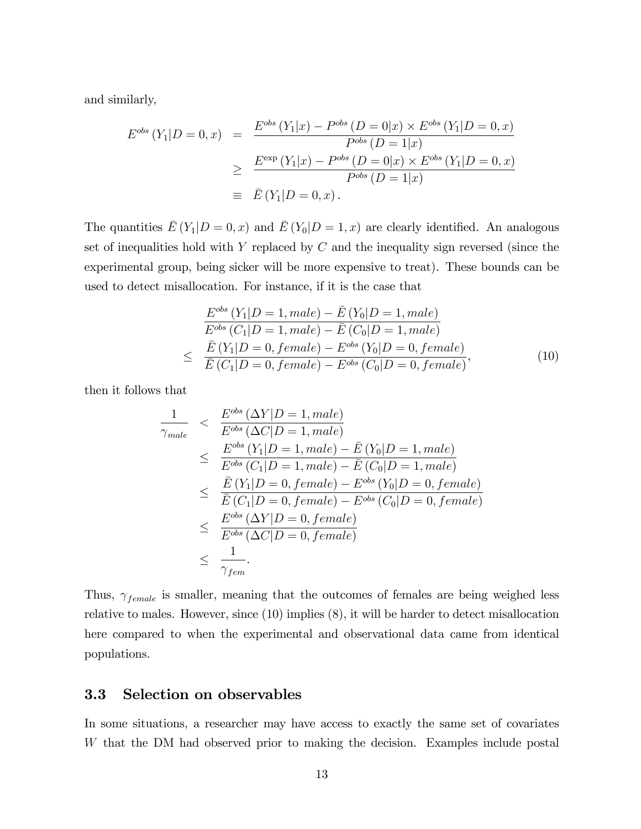and similarly,

$$
E^{obs} (Y_1 | D = 0, x) = \frac{E^{obs} (Y_1 | x) - P^{obs} (D = 0 | x) \times E^{obs} (Y_1 | D = 0, x)}{P^{obs} (D = 1 | x)}
$$
  
\n
$$
\geq \frac{E^{\exp} (Y_1 | x) - P^{obs} (D = 0 | x) \times E^{obs} (Y_1 | D = 0, x)}{P^{obs} (D = 1 | x)}
$$
  
\n
$$
\equiv \bar{E} (Y_1 | D = 0, x).
$$

The quantities  $\bar{E}(Y_1|D=0,x)$  and  $\bar{E}(Y_0|D=1,x)$  are clearly identified. An analogous set of inequalities hold with Y replaced by  $C$  and the inequality sign reversed (since the experimental group, being sicker will be more expensive to treat). These bounds can be used to detect misallocation. For instance, if it is the case that

$$
\frac{E^{obs}(Y_1|D=1, male) - \bar{E}(Y_0|D=1, male)}{E^{obs}(C_1|D=1, male) - \bar{E}(C_0|D=1, male)}
$$
\n
$$
\leq \frac{\bar{E}(Y_1|D=0, female) - E^{obs}(Y_0|D=0, female)}{\bar{E}(C_1|D=0, female) - E^{obs}(C_0|D=0, female)},
$$
\n(10)

then it follows that

$$
\frac{1}{\gamma_{male}} < \frac{E^{obs}(\Delta Y|D=1, male)}{E^{obs}(\Delta C|D=1, male)} \\
\leq \frac{E^{obs}(Y_1|D=1, male) - \bar{E}(Y_0|D=1, male)}{E^{obs}(C_1|D=1, male) - \bar{E}(C_0|D=1, male)} \\
\leq \frac{\bar{E}(Y_1|D=0, female) - E^{obs}(Y_0|D=0, female)}{\bar{E}(C_1|D=0, female) - E^{obs}(C_0|D=0, female)} \\
\leq \frac{E^{obs}(\Delta Y|D=0, female)}{E^{obs}(\Delta C|D=0, female)} \\
\leq \frac{1}{\gamma_{fem}}.
$$

Thus,  $\gamma_{female}$  is smaller, meaning that the outcomes of females are being weighed less relative to males. However, since (10) implies (8), it will be harder to detect misallocation here compared to when the experimental and observational data came from identical populations.

#### 3.3 Selection on observables

In some situations, a researcher may have access to exactly the same set of covariates W that the DM had observed prior to making the decision. Examples include postal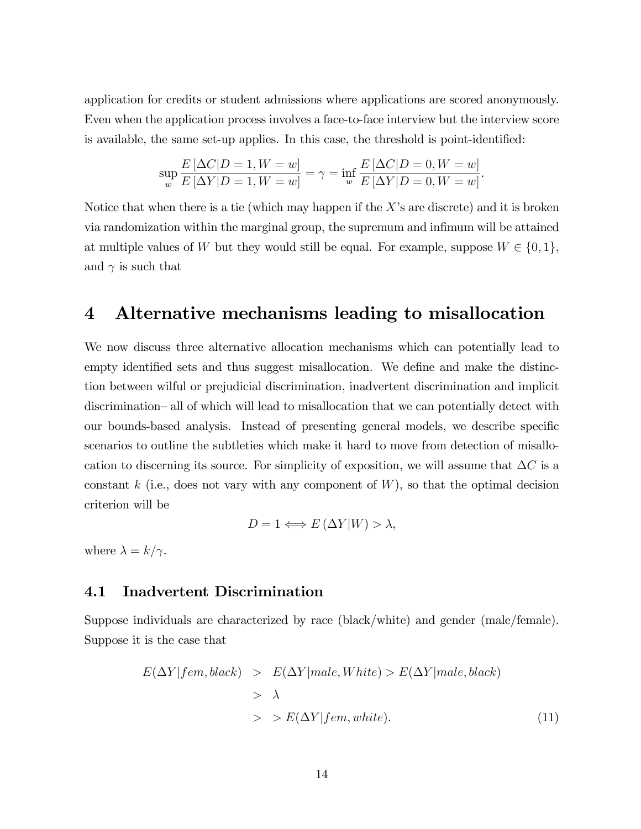application for credits or student admissions where applications are scored anonymously. Even when the application process involves a face-to-face interview but the interview score is available, the same set-up applies. In this case, the threshold is point-identified:

$$
\sup_{w} \frac{E\left[\Delta C|D=1, W=w\right]}{E\left[\Delta Y|D=1, W=w\right]} = \gamma = \inf_{w} \frac{E\left[\Delta C|D=0, W=w\right]}{E\left[\Delta Y|D=0, W=w\right]}.
$$

Notice that when there is a tie (which may happen if the  $X$ 's are discrete) and it is broken via randomization within the marginal group, the supremum and infimum will be attained at multiple values of W but they would still be equal. For example, suppose  $W \in \{0, 1\}$ , and  $\gamma$  is such that

## 4 Alternative mechanisms leading to misallocation

We now discuss three alternative allocation mechanisms which can potentially lead to empty identified sets and thus suggest misallocation. We define and make the distinction between wilful or prejudicial discrimination, inadvertent discrimination and implicit discrimination–all of which will lead to misallocation that we can potentially detect with our bounds-based analysis. Instead of presenting general models, we describe specific scenarios to outline the subtleties which make it hard to move from detection of misallocation to discerning its source. For simplicity of exposition, we will assume that  $\Delta C$  is a constant  $k$  (i.e., does not vary with any component of  $W$ ), so that the optimal decision criterion will be

$$
D = 1 \Longleftrightarrow E\left(\Delta Y | W\right) > \lambda,
$$

where  $\lambda = k/\gamma$ .

### 4.1 Inadvertent Discrimination

Suppose individuals are characterized by race (black/white) and gender (male/female). Suppose it is the case that

$$
E(\Delta Y | fem, black) > E(\Delta Y | male, White) > E(\Delta Y | male, black)
$$
  
>  $\lambda$   
>  $E(\Delta Y | fem, white).$  (11)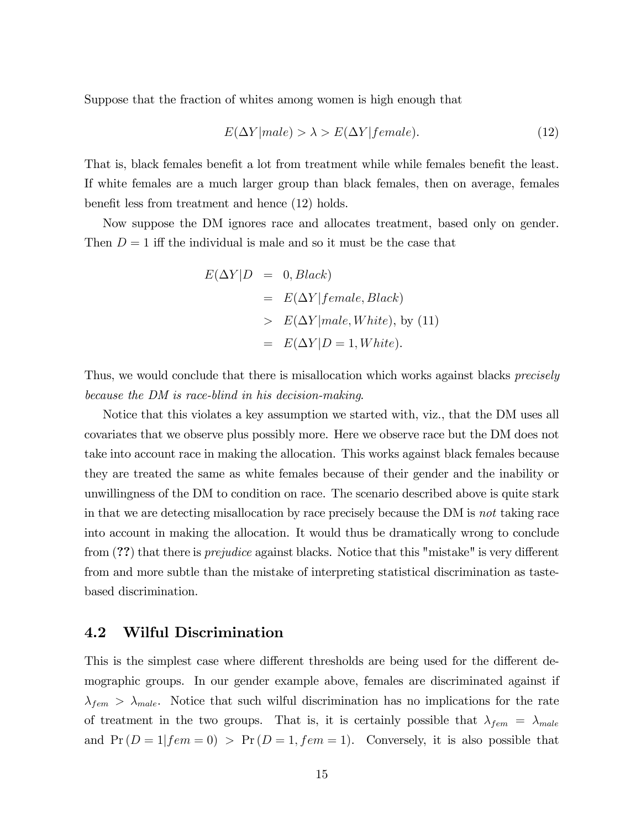Suppose that the fraction of whites among women is high enough that

$$
E(\Delta Y | male) > \lambda > E(\Delta Y | female).
$$
\n(12)

That is, black females benefit a lot from treatment while while females benefit the least. If white females are a much larger group than black females, then on average, females benefit less from treatment and hence (12) holds.

Now suppose the DM ignores race and allocates treatment, based only on gender. Then  $D = 1$  iff the individual is male and so it must be the case that

$$
E(\Delta Y|D = 0, Black)
$$
  
=  $E(\Delta Y| female, Black)$   
>  $E(\Delta Y| male, White)$ , by (11)  
=  $E(\Delta Y|D = 1, White)$ .

Thus, we would conclude that there is misallocation which works against blacks *precisely* because the DM is race-blind in his decision-making.

Notice that this violates a key assumption we started with, viz., that the DM uses all covariates that we observe plus possibly more. Here we observe race but the DM does not take into account race in making the allocation. This works against black females because they are treated the same as white females because of their gender and the inability or unwillingness of the DM to condition on race. The scenario described above is quite stark in that we are detecting misallocation by race precisely because the DM is not taking race into account in making the allocation. It would thus be dramatically wrong to conclude from  $(?)$  that there is *prejudice* against blacks. Notice that this "mistake" is very different from and more subtle than the mistake of interpreting statistical discrimination as tastebased discrimination.

#### 4.2 Wilful Discrimination

This is the simplest case where different thresholds are being used for the different demographic groups. In our gender example above, females are discriminated against if  $\lambda_{fem} > \lambda_{male}$ . Notice that such wilful discrimination has no implications for the rate of treatment in the two groups. That is, it is certainly possible that  $\lambda_{fem} = \lambda_{male}$ and  $Pr(D = 1 | fem = 0) > Pr(D = 1, fem = 1)$ . Conversely, it is also possible that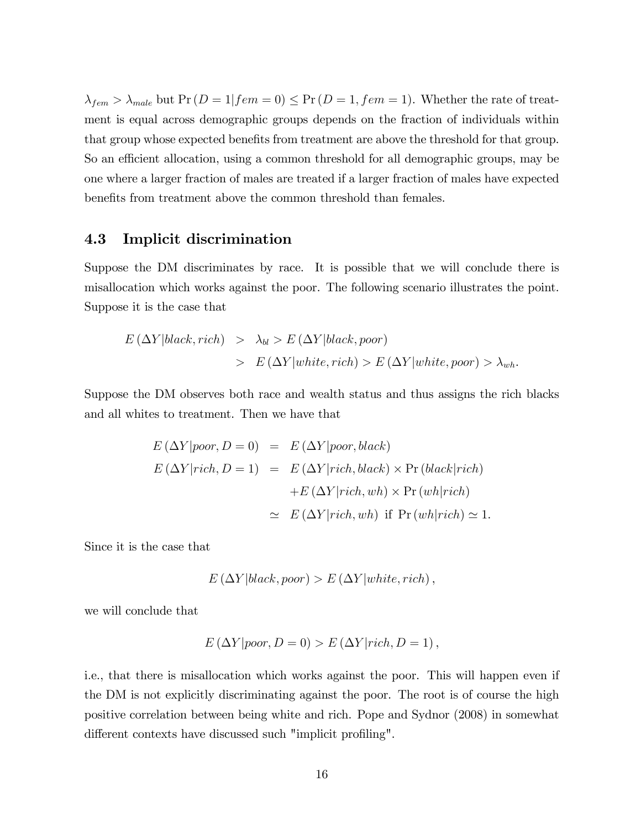$\lambda_{fem} > \lambda_{male}$  but  $Pr(D = 1 | fem = 0) \le Pr(D = 1, fem = 1)$ . Whether the rate of treatment is equal across demographic groups depends on the fraction of individuals within that group whose expected benefits from treatment are above the threshold for that group. So an efficient allocation, using a common threshold for all demographic groups, may be one where a larger fraction of males are treated if a larger fraction of males have expected benefits from treatment above the common threshold than females.

## 4.3 Implicit discrimination

Suppose the DM discriminates by race. It is possible that we will conclude there is misallocation which works against the poor. The following scenario illustrates the point. Suppose it is the case that

$$
E(\Delta Y|black, rich) > \lambda_{bl} > E(\Delta Y|black, poor)
$$
  
> 
$$
E(\Delta Y|white, rich) > E(\Delta Y|white,poor) > \lambda_{wh}.
$$

Suppose the DM observes both race and wealth status and thus assigns the rich blacks and all whites to treatment. Then we have that

$$
E (\Delta Y | poor, D = 0) = E (\Delta Y | poor, black)
$$
  
\n
$$
E (\Delta Y | rich, D = 1) = E (\Delta Y | rich, black) \times Pr (black | rich)
$$
  
\n
$$
+ E (\Delta Y | rich, wh) \times Pr (wh | rich)
$$
  
\n
$$
\approx E (\Delta Y | rich, wh) \text{ if } Pr (wh | rich) \approx 1.
$$

Since it is the case that

$$
E\left(\Delta Y|black, poor\right) > E\left(\Delta Y|white, rich\right),\,
$$

we will conclude that

$$
E(\Delta Y|poor, D = 0) > E(\Delta Y|rich, D = 1),
$$

i.e., that there is misallocation which works against the poor. This will happen even if the DM is not explicitly discriminating against the poor. The root is of course the high positive correlation between being white and rich. Pope and Sydnor (2008) in somewhat different contexts have discussed such "implicit profiling".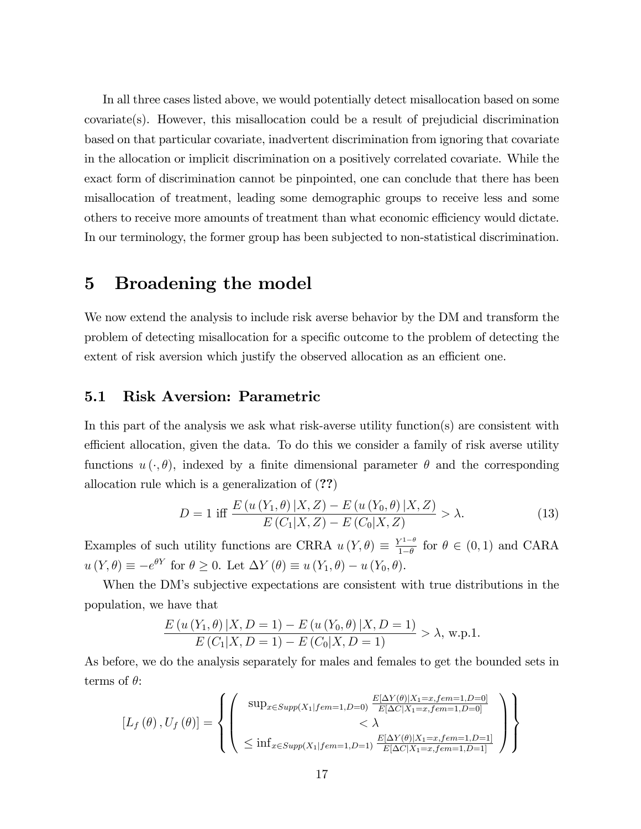In all three cases listed above, we would potentially detect misallocation based on some covariate(s). However, this misallocation could be a result of prejudicial discrimination based on that particular covariate, inadvertent discrimination from ignoring that covariate in the allocation or implicit discrimination on a positively correlated covariate. While the exact form of discrimination cannot be pinpointed, one can conclude that there has been misallocation of treatment, leading some demographic groups to receive less and some others to receive more amounts of treatment than what economic efficiency would dictate. In our terminology, the former group has been subjected to non-statistical discrimination.

# 5 Broadening the model

We now extend the analysis to include risk averse behavior by the DM and transform the problem of detecting misallocation for a specific outcome to the problem of detecting the extent of risk aversion which justify the observed allocation as an efficient one.

## 5.1 Risk Aversion: Parametric

In this part of the analysis we ask what risk-averse utility function(s) are consistent with efficient allocation, given the data. To do this we consider a family of risk averse utility functions  $u(\cdot,\theta)$ , indexed by a finite dimensional parameter  $\theta$  and the corresponding allocation rule which is a generalization of (??)

$$
D = 1 \text{ iff } \frac{E(u(Y_1, \theta) | X, Z) - E(u(Y_0, \theta) | X, Z)}{E(C_1 | X, Z) - E(C_0 | X, Z)} > \lambda.
$$
 (13)

Examples of such utility functions are CRRA  $u(Y, \theta) \equiv \frac{Y^{1-\theta}}{1-\theta}$  $\frac{\beta}{1-\theta}$  for  $\theta \in (0,1)$  and CARA  $u(Y, \theta) \equiv -e^{\theta Y}$  for  $\theta \ge 0$ . Let  $\Delta Y(\theta) \equiv u(Y_1, \theta) - u(Y_0, \theta)$ .

When the DM's subjective expectations are consistent with true distributions in the population, we have that

$$
\frac{E(u(Y_1, \theta) | X, D = 1) - E(u(Y_0, \theta) | X, D = 1)}{E(C_1 | X, D = 1) - E(C_0 | X, D = 1)} > \lambda, \text{ w.p.1.}
$$

As before, we do the analysis separately for males and females to get the bounded sets in terms of  $\theta$ :

$$
\begin{bmatrix} L_f(\theta), U_f(\theta) \end{bmatrix} = \left\{ \begin{bmatrix} \sup_{x \in Supp(X_1 | fem=1, D=0)} \frac{E[\Delta Y(\theta)|X_1=x, fem=1, D=0]}{E[\Delta C | X_1=x, fem=1, D=0]} \\ & < \lambda \\ \leq \inf_{x \in Supp(X_1 | fem=1, D=1)} \frac{E[\Delta Y(\theta)|X_1=x, fem=1, D=1]}{E[\Delta C | X_1=x, fem=1, D=1]} \end{bmatrix} \right\}
$$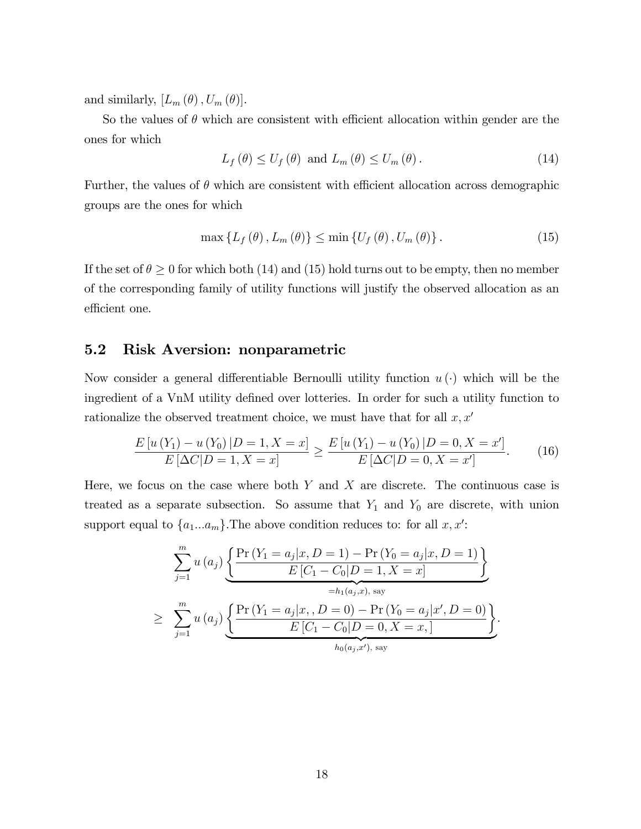and similarly,  $[L_m(\theta), U_m(\theta)].$ 

So the values of  $\theta$  which are consistent with efficient allocation within gender are the ones for which

$$
L_f(\theta) \le U_f(\theta) \text{ and } L_m(\theta) \le U_m(\theta). \tag{14}
$$

Further, the values of  $\theta$  which are consistent with efficient allocation across demographic groups are the ones for which

$$
\max\left\{L_f\left(\theta\right), L_m\left(\theta\right)\right\} \leq \min\left\{U_f\left(\theta\right), U_m\left(\theta\right)\right\}.
$$
\n(15)

If the set of  $\theta \geq 0$  for which both (14) and (15) hold turns out to be empty, then no member of the corresponding family of utility functions will justify the observed allocation as an efficient one.

#### 5.2 Risk Aversion: nonparametric

Now consider a general differentiable Bernoulli utility function  $u(\cdot)$  which will be the ingredient of a VnM utility defined over lotteries. In order for such a utility function to rationalize the observed treatment choice, we must have that for all  $x, x'$ 

$$
\frac{E\left[u\left(Y_{1}\right)-u\left(Y_{0}\right)|D=1,X=x\right]}{E\left[\Delta C|D=1,X=x\right]} \geq \frac{E\left[u\left(Y_{1}\right)-u\left(Y_{0}\right)|D=0,X=x'\right]}{E\left[\Delta C|D=0,X=x'\right]}.\tag{16}
$$

Here, we focus on the case where both  $Y$  and  $X$  are discrete. The continuous case is treated as a separate subsection. So assume that  $Y_1$  and  $Y_0$  are discrete, with union support equal to  $\{a_1...a_m\}$ . The above condition reduces to: for all  $x, x'$ :

$$
\sum_{j=1}^{m} u(a_j) \underbrace{\left\{ \frac{\Pr(Y_1 = a_j | x, D = 1) - \Pr(Y_0 = a_j | x, D = 1)}{E [C_1 - C_0 | D = 1, X = x]} \right\}}_{=h_1(a_j, x), \text{ say}}
$$
\n
$$
\geq \sum_{j=1}^{m} u(a_j) \underbrace{\left\{ \frac{\Pr(Y_1 = a_j | x, D = 0) - \Pr(Y_0 = a_j | x', D = 0)}{E [C_1 - C_0 | D = 0, X = x,]} \right\}}_{h_0(a_j, x'), \text{ say}}.
$$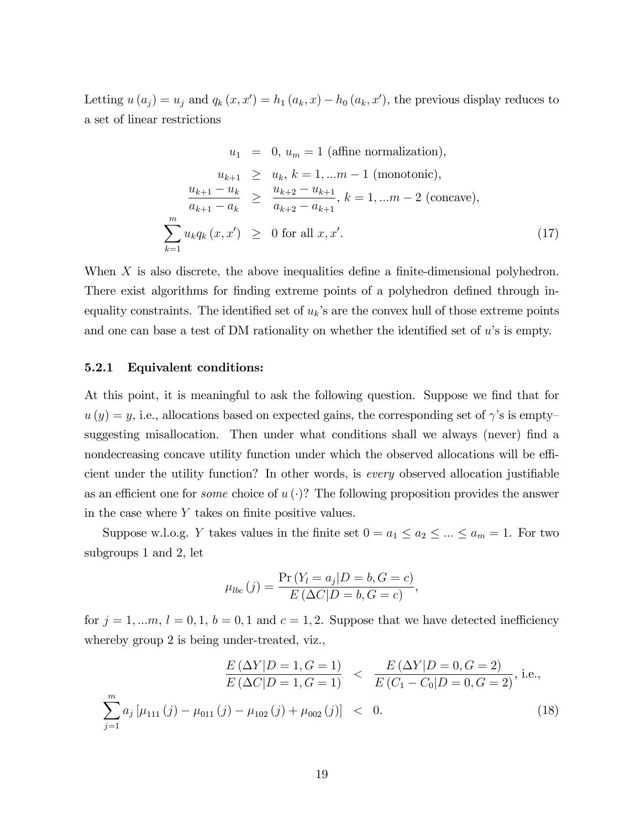Letting  $u(a_j) = u_j$  and  $q_k(x, x') = h_1(a_k, x) - h_0(a_k, x')$ , the previous display reduces to a set of linear restrictions

$$
u_1 = 0, u_m = 1 \text{ (affine normalization)},
$$
  
\n
$$
u_{k+1} \ge u_k, k = 1,...m-1 \text{ (monotonic)},
$$
  
\n
$$
\frac{u_{k+1} - u_k}{a_{k+1} - a_k} \ge \frac{u_{k+2} - u_{k+1}}{a_{k+2} - a_{k+1}}, k = 1,...m-2 \text{ (concave)},
$$
  
\n
$$
\sum_{k=1}^{m} u_k q_k (x, x') \ge 0 \text{ for all } x, x'.
$$
  
\n(17)

When  $X$  is also discrete, the above inequalities define a finite-dimensional polyhedron. There exist algorithms for finding extreme points of a polyhedron defined through inequality constraints. The identified set of  $u_k$ 's are the convex hull of those extreme points and one can base a test of DM rationality on whether the identified set of  $u$ 's is empty.

#### 5.2.1 Equivalent conditions:

At this point, it is meaningful to ask the following question. Suppose we find that for  $u(y) = y$ , i.e., allocations based on expected gains, the corresponding set of  $\gamma$ 's is emptysuggesting misallocation. Then under what conditions shall we always (never) find a nondecreasing concave utility function under which the observed allocations will be efficient under the utility function? In other words, is *every* observed allocation justifiable as an efficient one for *some* choice of  $u(\cdot)$ ? The following proposition provides the answer in the case where  $Y$  takes on finite positive values.

Suppose w.l.o.g. Y takes values in the finite set  $0 = a_1 \le a_2 \le ... \le a_m = 1$ . For two subgroups 1 and 2, let

$$
\mu_{lbc}(j) = \frac{\Pr(Y_l = a_j | D = b, G = c)}{E(\Delta C | D = b, G = c)},
$$

for  $j = 1, \ldots, n$ ,  $l = 0, 1, b = 0, 1$  and  $c = 1, 2$ . Suppose that we have detected inefficiency whereby group 2 is being under-treated, viz.,

$$
\frac{E(\Delta Y|D=1, G=1)}{E(\Delta C|D=1, G=1)} < \frac{E(\Delta Y|D=0, G=2)}{E(C_1 - C_0|D=0, G=2)}, \text{ i.e.,}
$$
\n
$$
\sum_{j=1}^{m} a_j \left[ \mu_{111}(j) - \mu_{011}(j) - \mu_{102}(j) + \mu_{002}(j) \right] < 0. \tag{18}
$$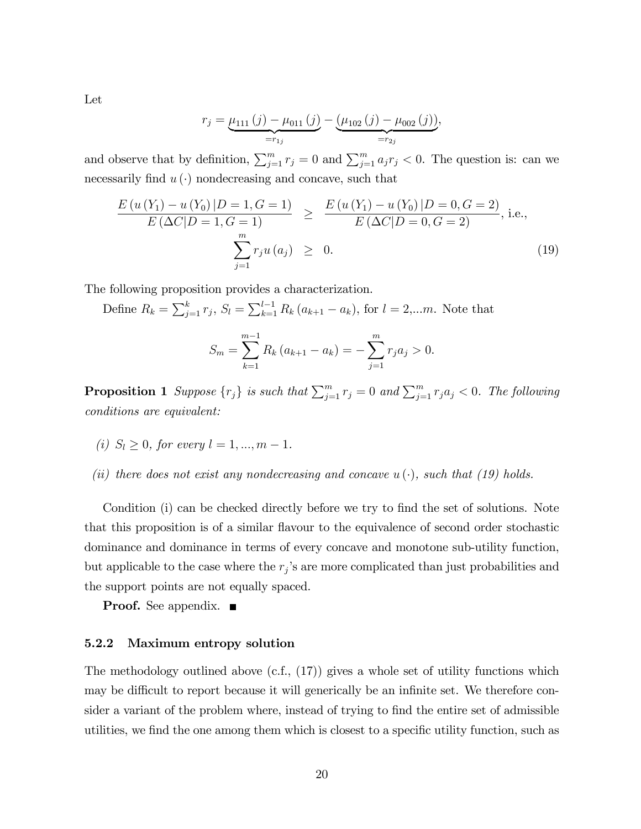Let

$$
r_j = \underbrace{\mu_{111}(j) - \mu_{011}(j)}_{=r_{1j}} - \underbrace{(\mu_{102}(j) - \mu_{002}(j))}_{=r_{2j}},
$$

and observe that by definition,  $\sum_{j=1}^{m} r_j = 0$  and  $\sum_{j=1}^{m} a_j r_j < 0$ . The question is: can we necessarily find  $u(\cdot)$  nondecreasing and concave, such that

$$
\frac{E(u(Y_1) - u(Y_0) | D = 1, G = 1)}{E(\Delta C | D = 1, G = 1)} \ge \frac{E(u(Y_1) - u(Y_0) | D = 0, G = 2)}{E(\Delta C | D = 0, G = 2)}, \text{ i.e.,}
$$
\n
$$
\sum_{j=1}^{m} r_j u(a_j) \ge 0.
$$
\n(19)

The following proposition provides a characterization.

Define  $R_k = \sum_{j=1}^k r_j$ ,  $S_l = \sum_{k=1}^{l-1} R_k (a_{k+1} - a_k)$ , for  $l = 2,...m$ . Note that

$$
S_m = \sum_{k=1}^{m-1} R_k (a_{k+1} - a_k) = -\sum_{j=1}^{m} r_j a_j > 0.
$$

**Proposition 1** Suppose  $\{r_j\}$  is such that  $\sum_{j=1}^m r_j = 0$  and  $\sum_{j=1}^m r_j a_j < 0$ . The following conditions are equivalent:

- (i)  $S_l > 0$ , for every  $l = 1, ..., m 1$ .
- (ii) there does not exist any nondecreasing and concave  $u(\cdot)$ , such that (19) holds.

Condition (i) can be checked directly before we try to find the set of solutions. Note that this proposition is of a similar flavour to the equivalence of second order stochastic dominance and dominance in terms of every concave and monotone sub-utility function, but applicable to the case where the  $r_j$ 's are more complicated than just probabilities and the support points are not equally spaced.

**Proof.** See appendix. ■

#### 5.2.2 Maximum entropy solution

The methodology outlined above  $(c.f., (17))$  gives a whole set of utility functions which may be difficult to report because it will generically be an infinite set. We therefore consider a variant of the problem where, instead of trying to find the entire set of admissible utilities, we find the one among them which is closest to a specific utility function, such as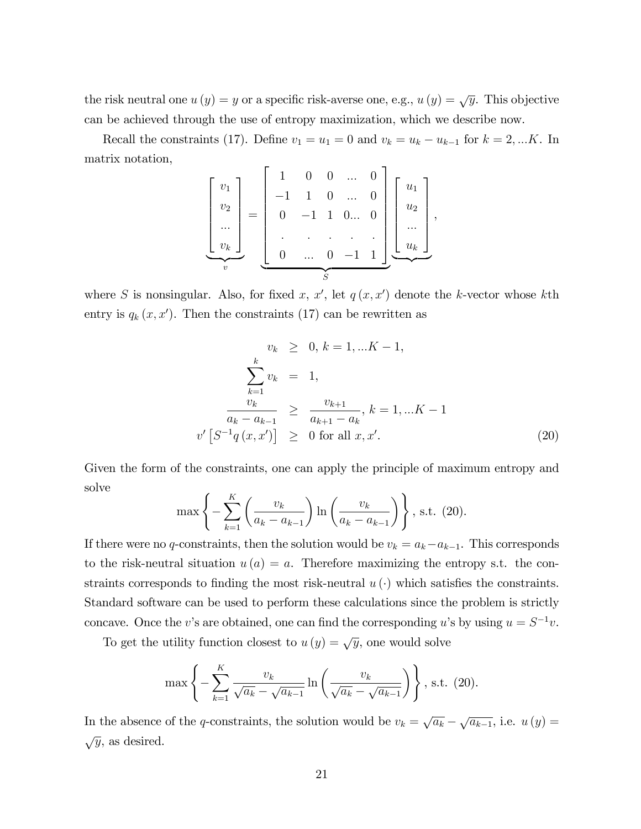the risk neutral one  $u(y) = y$  or a specific risk-averse one, e.g.,  $u(y) = \sqrt{y}$ . This objective can be achieved through the use of entropy maximization, which we describe now.

Recall the constraints (17). Define  $v_1 = u_1 = 0$  and  $v_k = u_k - u_{k-1}$  for  $k = 2, ...K$ . In matrix notation,

$$
\begin{bmatrix} v_1 \\ v_2 \\ \dots \\ v_k \end{bmatrix} = \begin{bmatrix} 1 & 0 & 0 & \dots & 0 \\ -1 & 1 & 0 & \dots & 0 \\ 0 & -1 & 1 & 0 \dots & 0 \\ \vdots & \vdots & \ddots & \vdots & \vdots \\ 0 & \dots & 0 & -1 & 1 \end{bmatrix} \begin{bmatrix} u_1 \\ u_2 \\ \dots \\ u_k \end{bmatrix},
$$

where S is nonsingular. Also, for fixed x, x', let  $q(x, x')$  denote the k-vector whose kth entry is  $q_k(x, x')$ . Then the constraints (17) can be rewritten as

$$
v_k \geq 0, k = 1, ...K - 1,
$$
  
\n
$$
\sum_{k=1}^{k} v_k = 1,
$$
  
\n
$$
\frac{v_k}{a_k - a_{k-1}} \geq \frac{v_{k+1}}{a_{k+1} - a_k}, k = 1, ...K - 1
$$
  
\n
$$
v' [S^{-1}q(x, x')] \geq 0 \text{ for all } x, x'.
$$
\n(20)

Given the form of the constraints, one can apply the principle of maximum entropy and solve

$$
\max\left\{-\sum_{k=1}^{K} \left(\frac{v_k}{a_k - a_{k-1}}\right) \ln \left(\frac{v_k}{a_k - a_{k-1}}\right) \right\}, \text{ s.t. } (20).
$$

If there were no q-constraints, then the solution would be  $v_k = a_k - a_{k-1}$ . This corresponds to the risk-neutral situation  $u(a) = a$ . Therefore maximizing the entropy s.t. the constraints corresponds to finding the most risk-neutral  $u(\cdot)$  which satisfies the constraints. Standard software can be used to perform these calculations since the problem is strictly concave. Once the v's are obtained, one can find the corresponding u's by using  $u = S^{-1}v$ .

To get the utility function closest to  $u(y) = \sqrt{y}$ , one would solve

$$
\max\left\{-\sum_{k=1}^{K} \frac{v_k}{\sqrt{a_k} - \sqrt{a_{k-1}}} \ln \left( \frac{v_k}{\sqrt{a_k} - \sqrt{a_{k-1}}} \right) \right\}, \text{ s.t. (20)}.
$$

In the absence of the q-constraints, the solution would be  $v_k = \sqrt{a_k} - \sqrt{a_{k-1}}$ , i.e.  $u(y) =$  $\sqrt{y}$ , as desired.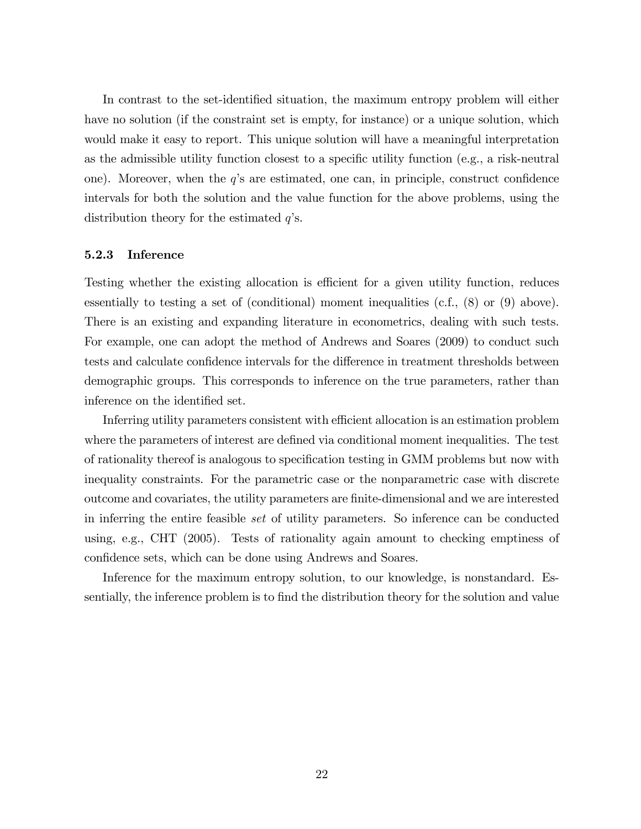In contrast to the set-identified situation, the maximum entropy problem will either have no solution (if the constraint set is empty, for instance) or a unique solution, which would make it easy to report. This unique solution will have a meaningful interpretation as the admissible utility function closest to a specific utility function (e.g., a risk-neutral one). Moreover, when the  $q$ 's are estimated, one can, in principle, construct confidence intervals for both the solution and the value function for the above problems, using the distribution theory for the estimated  $q$ 's.

#### 5.2.3 Inference

Testing whether the existing allocation is efficient for a given utility function, reduces essentially to testing a set of (conditional) moment inequalities (c.f., (8) or (9) above). There is an existing and expanding literature in econometrics, dealing with such tests. For example, one can adopt the method of Andrews and Soares (2009) to conduct such tests and calculate confidence intervals for the difference in treatment thresholds between demographic groups. This corresponds to inference on the true parameters, rather than inference on the identified set.

Inferring utility parameters consistent with efficient allocation is an estimation problem where the parameters of interest are defined via conditional moment inequalities. The test of rationality thereof is analogous to specification testing in GMM problems but now with inequality constraints. For the parametric case or the nonparametric case with discrete outcome and covariates, the utility parameters are Önite-dimensional and we are interested in inferring the entire feasible set of utility parameters. So inference can be conducted using, e.g., CHT (2005). Tests of rationality again amount to checking emptiness of confidence sets, which can be done using Andrews and Soares.

Inference for the maximum entropy solution, to our knowledge, is nonstandard. Essentially, the inference problem is to find the distribution theory for the solution and value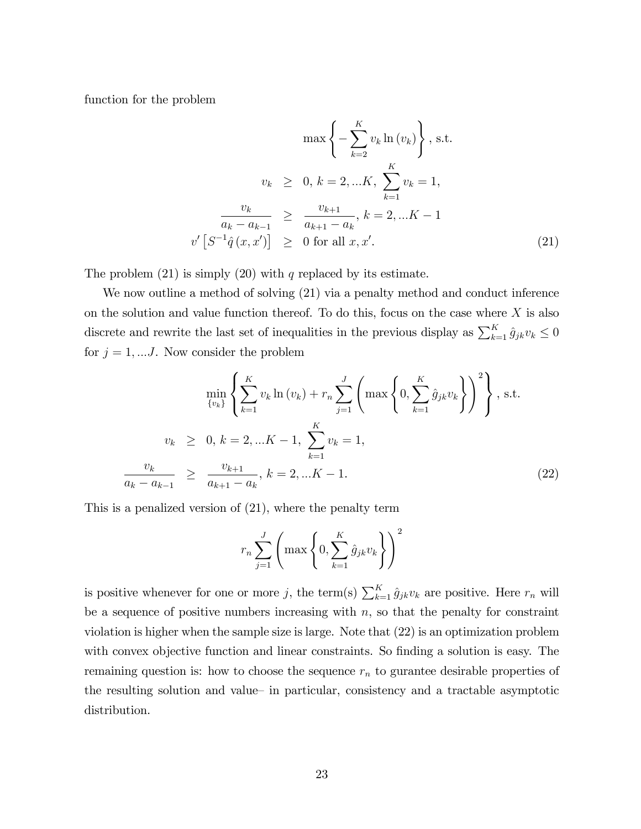function for the problem

$$
\max\left\{-\sum_{k=2}^{K} v_k \ln(v_k)\right\}, \text{ s.t.}
$$

$$
v_k \geq 0, k = 2, ...K, \sum_{k=1}^{K} v_k = 1,
$$

$$
\frac{v_k}{a_k - a_{k-1}} \geq \frac{v_{k+1}}{a_{k+1} - a_k}, k = 2, ...K - 1
$$

$$
v' [S^{-1}\hat{q}(x, x')] \geq 0 \text{ for all } x, x'.
$$
(21)

The problem  $(21)$  is simply  $(20)$  with q replaced by its estimate.

We now outline a method of solving (21) via a penalty method and conduct inference on the solution and value function thereof. To do this, focus on the case where  $X$  is also discrete and rewrite the last set of inequalities in the previous display as  $\sum_{k=1}^{K} \hat{g}_{jk}v_k \leq 0$ for  $j = 1, \dots J$ . Now consider the problem

$$
\min_{\{v_k\}} \left\{ \sum_{k=1}^K v_k \ln(v_k) + r_n \sum_{j=1}^J \left( \max \left\{ 0, \sum_{k=1}^K \hat{g}_{jk} v_k \right\} \right)^2 \right\}, \text{ s.t.}
$$
\n
$$
v_k \geq 0, k = 2, ...K - 1, \sum_{k=1}^K v_k = 1,
$$
\n
$$
\frac{v_k}{a_k - a_{k-1}} \geq \frac{v_{k+1}}{a_{k+1} - a_k}, k = 2, ...K - 1.
$$
\n(22)

This is a penalized version of (21), where the penalty term

$$
r_n \sum_{j=1}^{J} \left( \max \left\{ 0, \sum_{k=1}^{K} \hat{g}_{jk} v_k \right\} \right)^2
$$

is positive whenever for one or more j, the term(s)  $\sum_{k=1}^{K} \hat{g}_{jk}v_k$  are positive. Here  $r_n$  will be a sequence of positive numbers increasing with  $n$ , so that the penalty for constraint violation is higher when the sample size is large. Note that (22) is an optimization problem with convex objective function and linear constraints. So finding a solution is easy. The remaining question is: how to choose the sequence  $r_n$  to gurantee desirable properties of the resulting solution and value in particular, consistency and a tractable asymptotic distribution.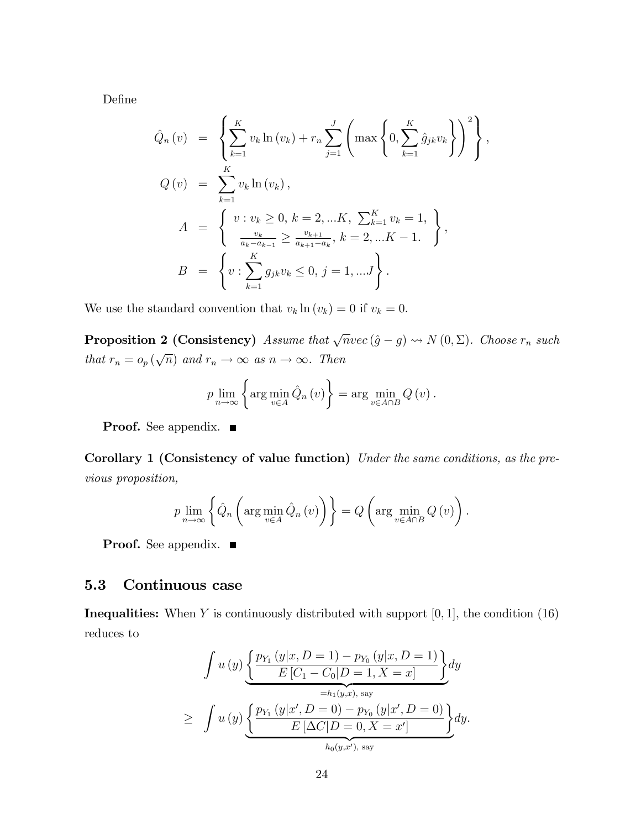DeÖne

$$
\hat{Q}_n(v) = \left\{ \sum_{k=1}^K v_k \ln(v_k) + r_n \sum_{j=1}^J \left( \max \left\{ 0, \sum_{k=1}^K \hat{g}_{jk} v_k \right\} \right)^2 \right\},
$$
  
\n
$$
Q(v) = \sum_{k=1}^K v_k \ln(v_k),
$$
  
\n
$$
A = \left\{ v : v_k \ge 0, k = 2, ...K, \sum_{k=1}^K v_k = 1, \atop \frac{v_k}{a_k - a_{k-1}} \ge \frac{v_{k+1}}{a_{k+1} - a_k}, k = 2, ...K - 1.
$$
  
\n
$$
B = \left\{ v : \sum_{k=1}^K g_{jk} v_k \le 0, j = 1, ...J \right\}.
$$

We use the standard convention that  $v_k \ln(v_k) = 0$  if  $v_k = 0$ .

**Proposition 2 (Consistency)** Assume that  $\sqrt{n}$  vec  $(\hat{g} - g) \rightsquigarrow N (0, \Sigma)$ . Choose  $r_n$  such that  $r_n = o_p(\sqrt{n})$  and  $r_n \to \infty$  as  $n \to \infty$ . Then

$$
p \lim_{n \to \infty} \left\{ \arg \min_{v \in A} \hat{Q}_n(v) \right\} = \arg \min_{v \in A \cap B} Q(v).
$$

**Proof.** See appendix.  $\blacksquare$ 

Corollary 1 (Consistency of value function) Under the same conditions, as the previous proposition,

$$
p \lim_{n \to \infty} \left\{ \hat{Q}_n \left( \arg \min_{v \in A} \hat{Q}_n \left( v \right) \right) \right\} = Q \left( \arg \min_{v \in A \cap B} Q \left( v \right) \right).
$$

**Proof.** See appendix. ■

## 5.3 Continuous case

**Inequalities:** When Y is continuously distributed with support  $[0, 1]$ , the condition  $(16)$ reduces to

$$
\int u(y) \underbrace{\left\{ \frac{p_{Y_1}(y|x, D = 1) - p_{Y_0}(y|x, D = 1)}{E[C_1 - C_0|D = 1, X = x]} \right\}}_{=h_1(y,x), \text{ say}} dy
$$
\n
$$
\geq \int u(y) \underbrace{\left\{ \frac{p_{Y_1}(y|x', D = 0) - p_{Y_0}(y|x', D = 0)}{E[\Delta C|D = 0, X = x']} \right\}}_{h_0(y,x'), \text{ say}} dy.
$$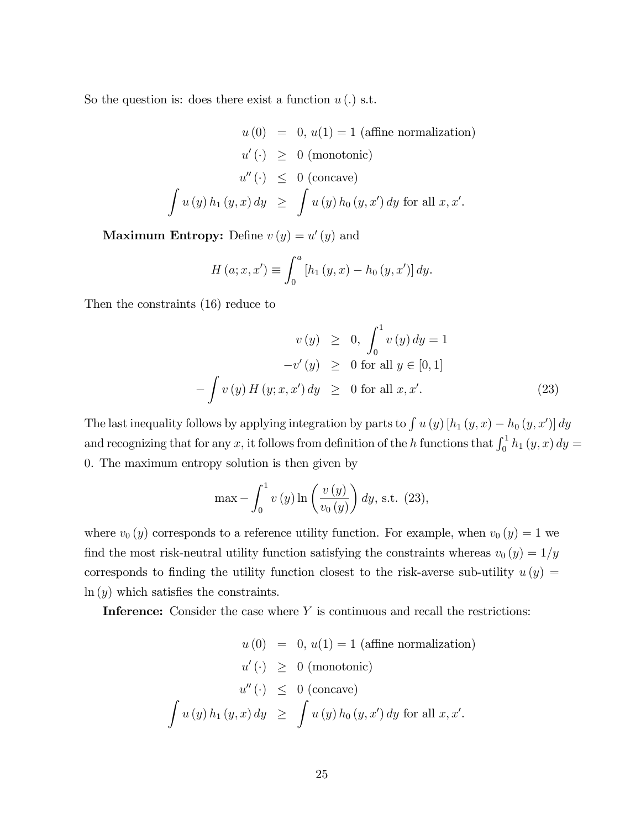So the question is: does there exist a function  $u(.)$  s.t.

$$
u(0) = 0, u(1) = 1 \text{ (affine normalization)}
$$
  
\n
$$
u'(\cdot) \ge 0 \text{ (monotonic)}
$$
  
\n
$$
u''(\cdot) \le 0 \text{ (concave)}
$$
  
\n
$$
\int u(y) h_1(y, x) dy \ge \int u(y) h_0(y, x') dy \text{ for all } x, x'.
$$

Maximum Entropy: Define  $v(y) = u'(y)$  and

$$
H (a; x, x') \equiv \int_0^a [h_1 (y, x) - h_0 (y, x')] dy.
$$

Then the constraints (16) reduce to

$$
v(y) \ge 0, \int_0^1 v(y) dy = 1
$$
  
-v'(y) \ge 0 for all  $y \in [0, 1]$   
- $\int v(y) H(y; x, x') dy \ge 0$  for all x, x'. (23)

The last inequality follows by applying integration by parts to  $\int u(y)$  [ $h_1(y, x) - h_0(y, x')$ ] dy and recognizing that for any x, it follows from definition of the h functions that  $\int_0^1 h_1(y, x) dy =$ 0. The maximum entropy solution is then given by

$$
\max - \int_0^1 v(y) \ln \left( \frac{v(y)}{v_0(y)} \right) dy, \text{ s.t. } (23),
$$

where  $v_0(y)$  corresponds to a reference utility function. For example, when  $v_0(y) = 1$  we find the most risk-neutral utility function satisfying the constraints whereas  $v_0 (y) = 1/y$ corresponds to finding the utility function closest to the risk-averse sub-utility  $u(y) =$  $ln(y)$  which satisfies the constraints.

**Inference:** Consider the case where  $Y$  is continuous and recall the restrictions:

$$
u(0) = 0, u(1) = 1 \text{ (affine normalization)}
$$
  
\n
$$
u'(\cdot) \geq 0 \text{ (monotonic)}
$$
  
\n
$$
u''(\cdot) \leq 0 \text{ (concave)}
$$
  
\n
$$
\int u(y) h_1(y, x) dy \geq \int u(y) h_0(y, x') dy \text{ for all } x, x'.
$$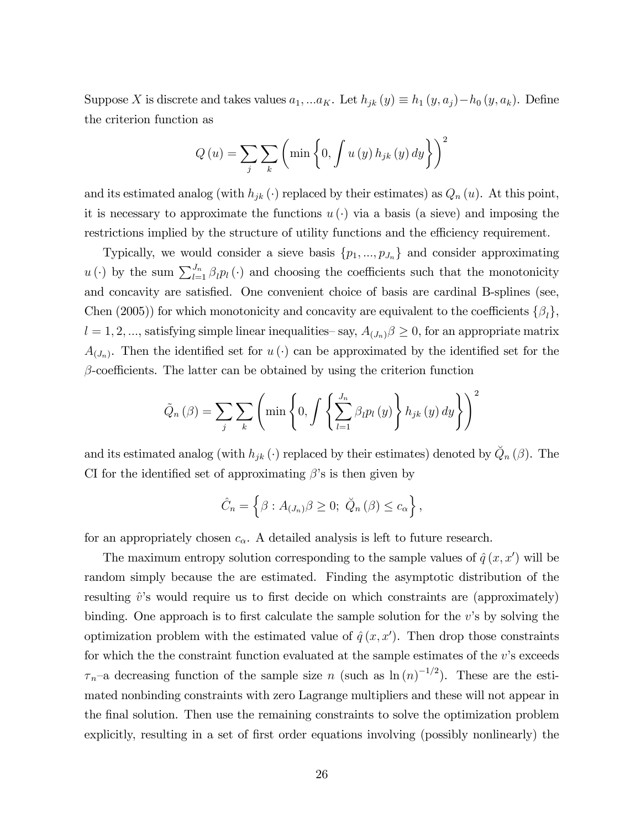Suppose X is discrete and takes values  $a_1, ... a_K$ . Let  $h_{jk}(y) \equiv h_1(y, a_j) - h_0(y, a_k)$ . Define the criterion function as

$$
Q\left(u\right) = \sum_{j} \sum_{k} \left(\min\left\{0, \int u\left(y\right) h_{jk}\left(y\right) dy\right\}\right)^{2}
$$

and its estimated analog (with  $h_{jk}(\cdot)$  replaced by their estimates) as  $Q_n(u)$ . At this point, it is necessary to approximate the functions  $u(\cdot)$  via a basis (a sieve) and imposing the restrictions implied by the structure of utility functions and the efficiency requirement.

Typically, we would consider a sieve basis  $\{p_1, ..., p_{J_n}\}\$  and consider approximating  $u(\cdot)$  by the sum  $\sum_{l=1}^{J_n} \beta_l p_l(\cdot)$  and choosing the coefficients such that the monotonicity and concavity are satisfied. One convenient choice of basis are cardinal B-splines (see, Chen (2005)) for which monotonicity and concavity are equivalent to the coefficients  $\{\beta_l\},\$  $l = 1, 2, ...,$  satisfying simple linear inequalities  $-\text{say}, A_{(J_n)}\beta \geq 0$ , for an appropriate matrix  $A_{(J_n)}$ . Then the identified set for  $u(\cdot)$  can be approximated by the identified set for the  $\beta$ -coefficients. The latter can be obtained by using the criterion function

$$
\tilde{Q}_n(\beta) = \sum_{j} \sum_{k} \left( \min \left\{ 0, \int \left\{ \sum_{l=1}^{J_n} \beta_l p_l(y) \right\} h_{jk}(y) dy \right\} \right)^2
$$

and its estimated analog (with  $h_{jk}(\cdot)$  replaced by their estimates) denoted by  $\check{Q}_n(\beta)$ . The CI for the identified set of approximating  $\beta$ 's is then given by

$$
\hat{C}_n = \left\{ \beta : A_{(J_n)} \beta \geq 0; \ \breve{Q}_n (\beta) \leq c_\alpha \right\},\
$$

for an appropriately chosen  $c_{\alpha}$ . A detailed analysis is left to future research.

The maximum entropy solution corresponding to the sample values of  $\hat{q}(x, x')$  will be random simply because the are estimated. Finding the asymptotic distribution of the resulting  $\hat{v}$ 's would require us to first decide on which constraints are (approximately) binding. One approach is to first calculate the sample solution for the  $v$ 's by solving the optimization problem with the estimated value of  $\hat{q}(x, x')$ . Then drop those constraints for which the the constraint function evaluated at the sample estimates of the  $v$ 's exceeds  $\tau_n$ -a decreasing function of the sample size n (such as  $\ln(n)^{-1/2}$ ). These are the estimated nonbinding constraints with zero Lagrange multipliers and these will not appear in the final solution. Then use the remaining constraints to solve the optimization problem explicitly, resulting in a set of first order equations involving (possibly nonlinearly) the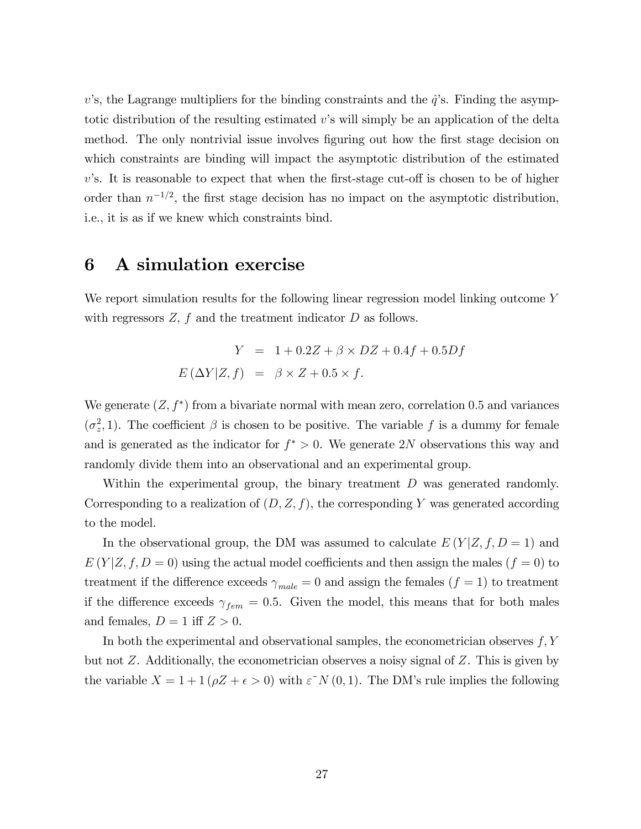v's, the Lagrange multipliers for the binding constraints and the  $\hat{q}$ 's. Finding the asymptotic distribution of the resulting estimated  $v$ 's will simply be an application of the delta method. The only nontrivial issue involves figuring out how the first stage decision on which constraints are binding will impact the asymptotic distribution of the estimated  $v$ 's. It is reasonable to expect that when the first-stage cut-off is chosen to be of higher order than  $n^{-1/2}$ , the first stage decision has no impact on the asymptotic distribution, i.e., it is as if we knew which constraints bind.

## 6 A simulation exercise

We report simulation results for the following linear regression model linking outcome Y with regressors  $Z$ ,  $f$  and the treatment indicator  $D$  as follows.

$$
Y = 1 + 0.2Z + \beta \times DZ + 0.4f + 0.5Df
$$
  

$$
E(\Delta Y|Z, f) = \beta \times Z + 0.5 \times f.
$$

We generate  $(Z, f^*)$  from a bivariate normal with mean zero, correlation 0.5 and variances  $(\sigma_z^2, 1)$ . The coefficient  $\beta$  is chosen to be positive. The variable f is a dummy for female and is generated as the indicator for  $f^* > 0$ . We generate 2N observations this way and randomly divide them into an observational and an experimental group.

Within the experimental group, the binary treatment  $D$  was generated randomly. Corresponding to a realization of  $(D, Z, f)$ , the corresponding Y was generated according to the model.

In the observational group, the DM was assumed to calculate  $E(Y|Z, f, D = 1)$  and  $E(Y|Z, f, D = 0)$  using the actual model coefficients and then assign the males  $(f = 0)$  to treatment if the difference exceeds  $\gamma_{male} = 0$  and assign the females  $(f = 1)$  to treatment if the difference exceeds  $\gamma_{fem} = 0.5$ . Given the model, this means that for both males and females,  $D = 1$  iff  $Z > 0$ .

In both the experimental and observational samples, the econometrician observes  $f, Y$ but not  $Z$ . Additionally, the econometrician observes a noisy signal of  $Z$ . This is given by the variable  $X = 1 + 1 (\rho Z + \epsilon > 0)$  with  $\epsilon^N N(0, 1)$ . The DM's rule implies the following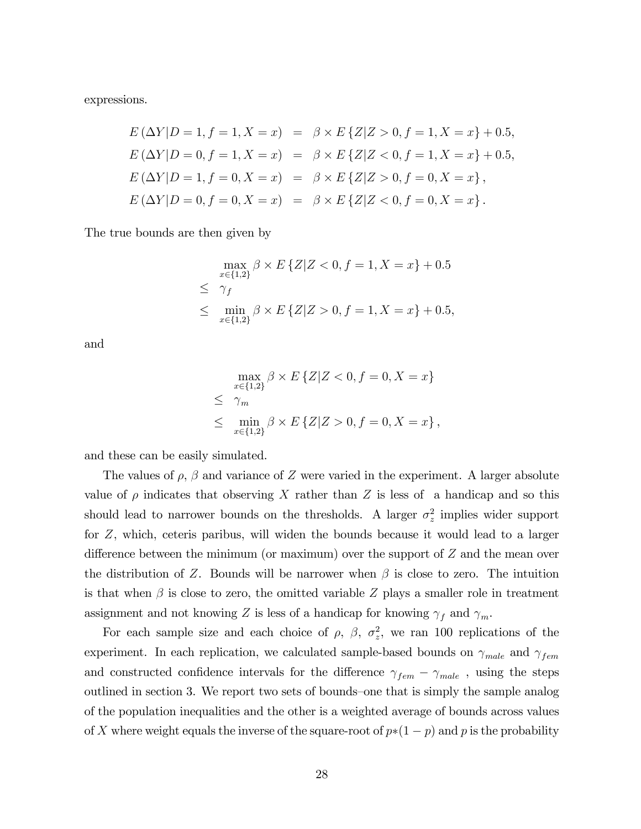expressions.

$$
E (\Delta Y | D = 1, f = 1, X = x) = \beta \times E \{Z | Z > 0, f = 1, X = x\} + 0.5,
$$
  
\n
$$
E (\Delta Y | D = 0, f = 1, X = x) = \beta \times E \{Z | Z < 0, f = 1, X = x\} + 0.5,
$$
  
\n
$$
E (\Delta Y | D = 1, f = 0, X = x) = \beta \times E \{Z | Z > 0, f = 0, X = x\},
$$
  
\n
$$
E (\Delta Y | D = 0, f = 0, X = x) = \beta \times E \{Z | Z < 0, f = 0, X = x\}.
$$

The true bounds are then given by

$$
\max_{x \in \{1,2\}} \beta \times E \{Z | Z < 0, f = 1, X = x\} + 0.5
$$
  
\n
$$
\leq \gamma_f
$$
  
\n
$$
\leq \min_{x \in \{1,2\}} \beta \times E \{Z | Z > 0, f = 1, X = x\} + 0.5,
$$

and

$$
\max_{x \in \{1,2\}} \beta \times E \{Z | Z < 0, f = 0, X = x\}
$$
  
\n
$$
\leq \gamma_m
$$
  
\n
$$
\leq \min_{x \in \{1,2\}} \beta \times E \{Z | Z > 0, f = 0, X = x\},
$$

and these can be easily simulated.

The values of  $\rho$ ,  $\beta$  and variance of Z were varied in the experiment. A larger absolute value of  $\rho$  indicates that observing X rather than Z is less of a handicap and so this should lead to narrower bounds on the thresholds. A larger  $\sigma_z^2$  implies wider support for Z, which, ceteris paribus, will widen the bounds because it would lead to a larger difference between the minimum (or maximum) over the support of  $Z$  and the mean over the distribution of Z. Bounds will be narrower when  $\beta$  is close to zero. The intuition is that when  $\beta$  is close to zero, the omitted variable Z plays a smaller role in treatment assignment and not knowing Z is less of a handicap for knowing  $\gamma_f$  and  $\gamma_m$ .

For each sample size and each choice of  $\rho$ ,  $\beta$ ,  $\sigma_z^2$ , we ran 100 replications of the experiment. In each replication, we calculated sample-based bounds on  $\gamma_{male}$  and  $\gamma_{fem}$ and constructed confidence intervals for the difference  $\gamma_{fem} - \gamma_{male}$ , using the steps outlined in section 3. We report two sets of bounds–one that is simply the sample analog of the population inequalities and the other is a weighted average of bounds across values of X where weight equals the inverse of the square-root of  $p*(1 - p)$  and p is the probability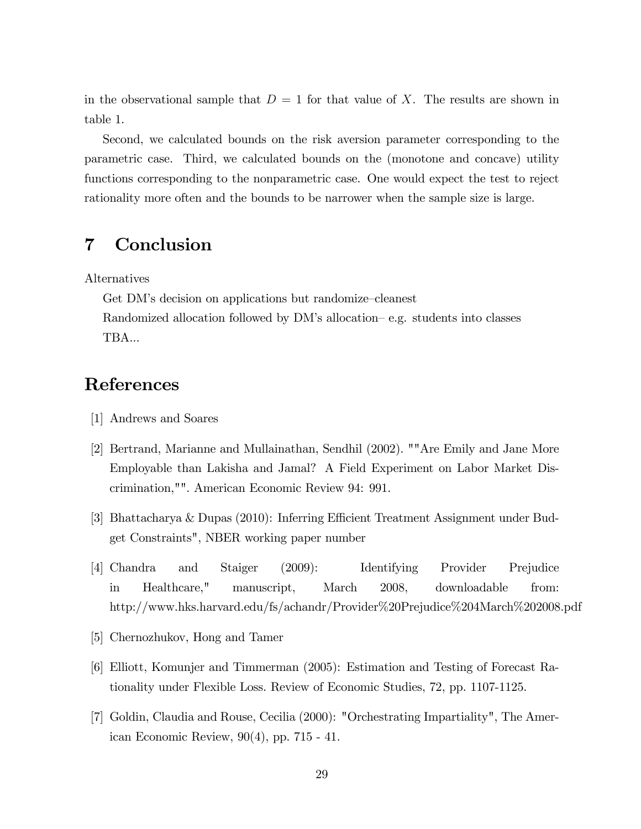in the observational sample that  $D = 1$  for that value of X. The results are shown in table 1.

Second, we calculated bounds on the risk aversion parameter corresponding to the parametric case. Third, we calculated bounds on the (monotone and concave) utility functions corresponding to the nonparametric case. One would expect the test to reject rationality more often and the bounds to be narrower when the sample size is large.

# 7 Conclusion

Alternatives

Get DM's decision on applications but randomize-cleanest Randomized allocation followed by  $DM$ 's allocation–e.g. students into classes TBA...

# References

- [1] Andrews and Soares
- [2] Bertrand, Marianne and Mullainathan, Sendhil (2002). ""Are Emily and Jane More Employable than Lakisha and Jamal? A Field Experiment on Labor Market Discrimination,"". American Economic Review 94: 991.
- [3] Bhattacharya & Dupas (2010): Inferring Efficient Treatment Assignment under Budget Constraints", NBER working paper number
- [4] Chandra and Staiger (2009): Identifying Provider Prejudice in Healthcare," manuscript, March 2008, downloadable from: http://www.hks.harvard.edu/fs/achandr/Provider%20Prejudice%204March%202008.pdf
- [5] Chernozhukov, Hong and Tamer
- [6] Elliott, Komunjer and Timmerman (2005): Estimation and Testing of Forecast Rationality under Flexible Loss. Review of Economic Studies, 72, pp. 1107-1125.
- [7] Goldin, Claudia and Rouse, Cecilia (2000): "Orchestrating Impartiality", The American Economic Review, 90(4), pp. 715 - 41.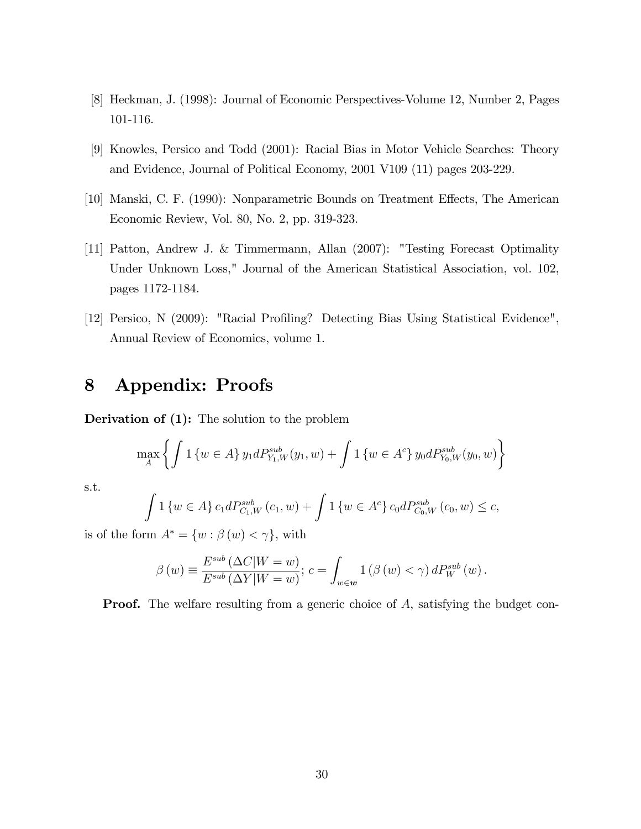- [8] Heckman, J. (1998): Journal of Economic Perspectives-Volume 12, Number 2, Pages 101-116.
- [9] Knowles, Persico and Todd (2001): Racial Bias in Motor Vehicle Searches: Theory and Evidence, Journal of Political Economy, 2001 V109 (11) pages 203-229.
- [10] Manski, C. F. (1990): Nonparametric Bounds on Treatment Effects, The American Economic Review, Vol. 80, No. 2, pp. 319-323.
- [11] Patton, Andrew J. & Timmermann, Allan (2007): "Testing Forecast Optimality Under Unknown Loss," Journal of the American Statistical Association, vol. 102, pages 1172-1184.
- [12] Persico, N (2009): "Racial Profiling? Detecting Bias Using Statistical Evidence", Annual Review of Economics, volume 1.

# 8 Appendix: Proofs

Derivation of (1): The solution to the problem

$$
\max_{A} \left\{ \int 1 \left\{ w \in A \right\} y_1 dP_{Y_1, W}^{sub}(y_1, w) + \int 1 \left\{ w \in A^c \right\} y_0 dP_{Y_0, W}^{sub}(y_0, w) \right\}
$$

s.t.

$$
\int 1\left\{w \in A\right\} c_1 dP_{C_1,W}^{sub}(c_1, w) + \int 1\left\{w \in A^c\right\} c_0 dP_{C_0,W}^{sub}(c_0, w) \leq c,
$$

is of the form  $A^* = \{w : \beta(w) < \gamma\}$ , with

$$
\beta(w) \equiv \frac{E^{sub}(\Delta C|W=w)}{E^{sub}(\Delta Y|W=w)}; c = \int_{w \in \mathbf{w}} 1(\beta(w) < \gamma) dP_W^{sub}(w).
$$

**Proof.** The welfare resulting from a generic choice of A, satisfying the budget con-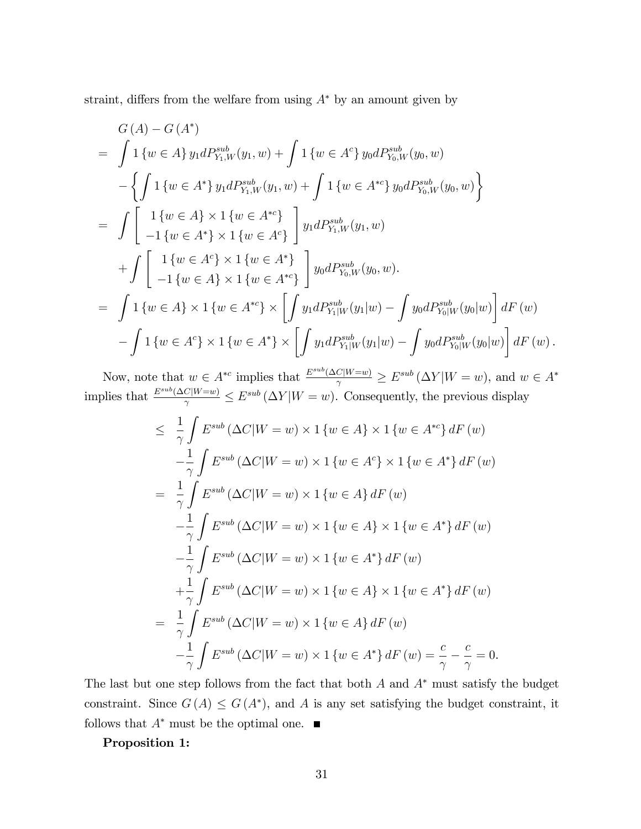straint, differs from the welfare from using  $A^*$  by an amount given by

$$
G(A) - G(A^*)
$$
  
=  $\int 1 \{w \in A\} y_1 dP_{Y_1,W}^{sub}(y_1, w) + \int 1 \{w \in A^c\} y_0 dP_{Y_0,W}^{sub}(y_0, w)$   
-  $\{ \int 1 \{w \in A^*\} y_1 dP_{Y_1,W}^{sub}(y_1, w) + \int 1 \{w \in A^{*c}\} y_0 dP_{Y_0,W}^{sub}(y_0, w) \}$   
=  $\int \left[ \begin{array}{c} 1 \{w \in A\} \times 1 \{w \in A^{*c}\} \\ -1 \{w \in A^*\} \times 1 \{w \in A^c\} \end{array} \right] y_1 dP_{Y_1,W}^{sub}(y_1, w)$   
+  $\int \left[ \begin{array}{c} 1 \{w \in A^c\} \times 1 \{w \in A^*\} \\ -1 \{w \in A\} \times 1 \{w \in A^{*c}\} \end{array} \right] y_0 dP_{Y_0,W}^{sub}(y_0, w).$   
=  $\int 1 \{w \in A\} \times 1 \{w \in A^{*c}\} \times \left[ \int y_1 dP_{Y_1|W}^{sub}(y_1|w) - \int y_0 dP_{Y_0|W}^{sub}(y_0|w) \right] dF(w)$   
-  $\int 1 \{w \in A^c\} \times 1 \{w \in A^*\} \times \left[ \int y_1 dP_{Y_1|W}^{sub}(y_1|w) - \int y_0 dP_{Y_0|W}^{sub}(y_0|w) \right] dF(w).$ 

Now, note that  $w \in A^{*c}$  implies that  $\frac{E^{sub}(\Delta C|W=w)}{\gamma} \ge E^{sub}(\Delta Y|W=w)$ , and  $w \in A^*$ implies that  $\frac{E^{sub}(\Delta C|W=w)}{\gamma} \le E^{sub}(\Delta Y|W=w)$ . Consequently, the previous display

$$
\leq \frac{1}{\gamma} \int E^{sub} (\Delta C | W = w) \times 1 \{ w \in A \} \times 1 \{ w \in A^{*c} \} dF(w)
$$
  
\n
$$
- \frac{1}{\gamma} \int E^{sub} (\Delta C | W = w) \times 1 \{ w \in A^c \} \times 1 \{ w \in A^* \} dF(w)
$$
  
\n
$$
= \frac{1}{\gamma} \int E^{sub} (\Delta C | W = w) \times 1 \{ w \in A \} dF(w)
$$
  
\n
$$
- \frac{1}{\gamma} \int E^{sub} (\Delta C | W = w) \times 1 \{ w \in A \} \times 1 \{ w \in A^* \} dF(w)
$$
  
\n
$$
- \frac{1}{\gamma} \int E^{sub} (\Delta C | W = w) \times 1 \{ w \in A^* \} dF(w)
$$
  
\n
$$
+ \frac{1}{\gamma} \int E^{sub} (\Delta C | W = w) \times 1 \{ w \in A \} \times 1 \{ w \in A^* \} dF(w)
$$
  
\n
$$
= \frac{1}{\gamma} \int E^{sub} (\Delta C | W = w) \times 1 \{ w \in A \} dF(w)
$$
  
\n
$$
- \frac{1}{\gamma} \int E^{sub} (\Delta C | W = w) \times 1 \{ w \in A \} dF(w)
$$
  
\n
$$
- \frac{1}{\gamma} \int E^{sub} (\Delta C | W = w) \times 1 \{ w \in A^* \} dF(w) = \frac{c}{\gamma} - \frac{c}{\gamma} = 0.
$$

The last but one step follows from the fact that both  $A$  and  $A^*$  must satisfy the budget constraint. Since  $G(A) \leq G(A^*)$ , and A is any set satisfying the budget constraint, it follows that  $A^*$  must be the optimal one.

#### Proposition 1: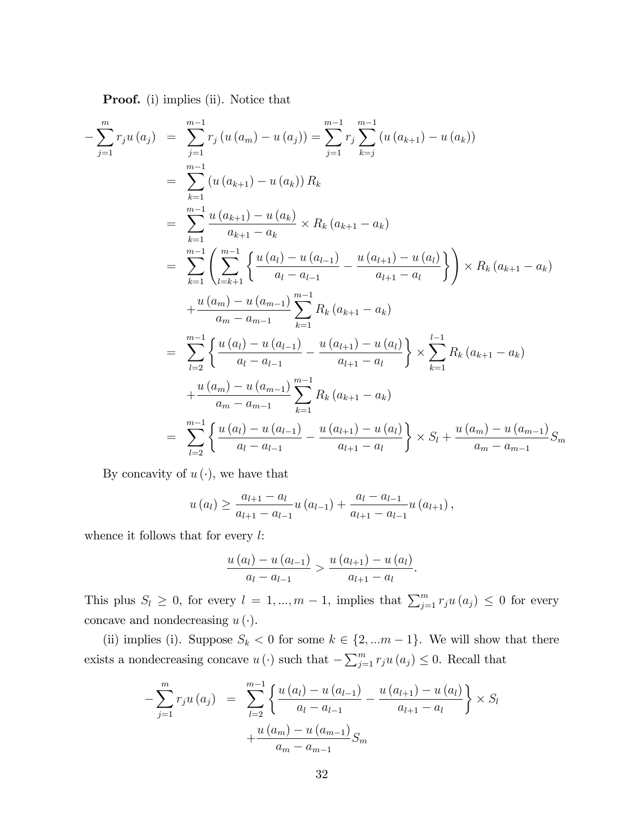Proof. (i) implies (ii). Notice that

$$
-\sum_{j=1}^{m} r_j u(a_j) = \sum_{j=1}^{m-1} r_j (u(a_m) - u(a_j)) = \sum_{j=1}^{m-1} r_j \sum_{k=j}^{m-1} (u(a_{k+1}) - u(a_k))
$$
  
\n
$$
= \sum_{k=1}^{m-1} (u(a_{k+1}) - u(a_k)) R_k
$$
  
\n
$$
= \sum_{k=1}^{m-1} \frac{u(a_{k+1}) - u(a_k)}{a_{k+1} - a_k} \times R_k (a_{k+1} - a_k)
$$
  
\n
$$
= \sum_{k=1}^{m-1} \left( \sum_{l=k+1}^{m-1} \left\{ \frac{u(a_l) - u(a_{l-1})}{a_l - a_{l-1}} - \frac{u(a_{l+1}) - u(a_l)}{a_{l+1} - a_l} \right\} \right) \times R_k (a_{k+1} - a_k)
$$
  
\n
$$
+ \frac{u(a_m) - u(a_{m-1})}{a_m - a_{m-1}} \sum_{k=1}^{m-1} R_k (a_{k+1} - a_k)
$$
  
\n
$$
= \sum_{l=2}^{m-1} \left\{ \frac{u(a_l) - u(a_{l-1})}{a_l - a_{l-1}} - \frac{u(a_{l+1}) - u(a_l)}{a_{l+1} - a_l} \right\} \times \sum_{k=1}^{l-1} R_k (a_{k+1} - a_k)
$$
  
\n
$$
+ \frac{u(a_m) - u(a_{m-1})}{a_m - a_{m-1}} \sum_{k=1}^{m-1} R_k (a_{k+1} - a_k)
$$
  
\n
$$
= \sum_{l=2}^{m-1} \left\{ \frac{u(a_l) - u(a_{l-1})}{a_l - a_{l-1}} - \frac{u(a_{l+1}) - u(a_l)}{a_{l+1} - a_l} \right\} \times S_l + \frac{u(a_m) - u(a_{m-1})}{a_m - a_{m-1}} S_m
$$

By concavity of  $u(\cdot)$ , we have that

$$
u(a_{l}) \geq \frac{a_{l+1} - a_{l}}{a_{l+1} - a_{l-1}} u(a_{l-1}) + \frac{a_{l} - a_{l-1}}{a_{l+1} - a_{l-1}} u(a_{l+1}),
$$

whence it follows that for every  $l$ :

$$
\frac{u(a_{l})-u(a_{l-1})}{a_{l}-a_{l-1}} > \frac{u(a_{l+1})-u(a_{l})}{a_{l+1}-a_{l}}.
$$

This plus  $S_l \geq 0$ , for every  $l = 1, ..., m - 1$ , implies that  $\sum_{j=1}^{m} r_j u(a_j) \leq 0$  for every concave and nondecreasing  $u(\cdot)$ .

(ii) implies (i). Suppose  $S_k < 0$  for some  $k \in \{2, \ldots m-1\}$ . We will show that there exists a nondecreasing concave  $u(\cdot)$  such that  $-\sum_{j=1}^{m} r_j u(a_j) \leq 0$ . Recall that

$$
-\sum_{j=1}^{m} r_j u(a_j) = \sum_{l=2}^{m-1} \left\{ \frac{u(a_l) - u(a_{l-1})}{a_l - a_{l-1}} - \frac{u(a_{l+1}) - u(a_l)}{a_{l+1} - a_l} \right\} \times S_l
$$

$$
+ \frac{u(a_m) - u(a_{m-1})}{a_m - a_{m-1}} S_m
$$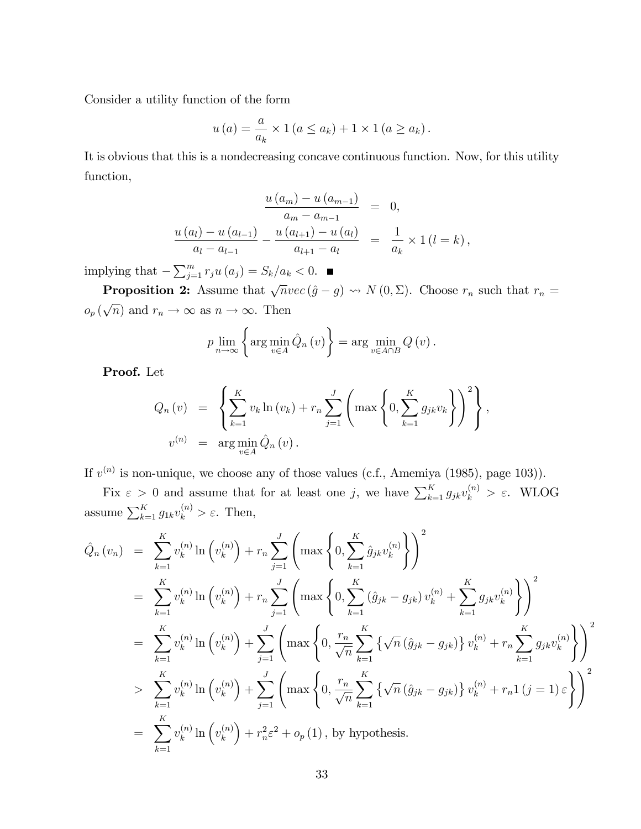Consider a utility function of the form

$$
u(a) = \frac{a}{a_k} \times 1 (a \le a_k) + 1 \times 1 (a \ge a_k).
$$

It is obvious that this is a nondecreasing concave continuous function. Now, for this utility function,

$$
\frac{u(a_m) - u(a_{m-1})}{a_m - a_{m-1}} = 0,
$$
  

$$
\frac{u(a_l) - u(a_{l-1})}{a_l - a_{l-1}} - \frac{u(a_{l+1}) - u(a_l)}{a_{l+1} - a_l} = \frac{1}{a_k} \times 1 (l = k),
$$

implying that  $-\sum_{j=1}^{m} r_j u(a_j) = S_k/a_k < 0.$ 

**Proposition 2:** Assume that  $\sqrt{n}vec(\hat{g} - g) \rightsquigarrow N (0, \Sigma)$ . Choose  $r_n$  such that  $r_n =$  $o_p(\sqrt{n})$  and  $r_n \to \infty$  as  $n \to \infty$ . Then

$$
p \lim_{n \to \infty} \left\{ \arg \min_{v \in A} \hat{Q}_n(v) \right\} = \arg \min_{v \in A \cap B} Q(v).
$$

Proof. Let

$$
Q_n(v) = \left\{ \sum_{k=1}^K v_k \ln(v_k) + r_n \sum_{j=1}^J \left( \max \left\{ 0, \sum_{k=1}^K g_{jk} v_k \right\} \right)^2 \right\},
$$
  

$$
v^{(n)} = \arg \min_{v \in A} \hat{Q}_n(v).
$$

If  $v^{(n)}$  is non-unique, we choose any of those values (c.f., Amemiya (1985), page 103)).

Fix  $\varepsilon > 0$  and assume that for at least one j, we have  $\sum_{k=1}^{K} g_{jk}v_k^{(n)} > \varepsilon$ . WLOG assume  $\sum_{k=1}^{K} g_{1k} v_k^{(n)} > \varepsilon$ . Then,

$$
\hat{Q}_{n}(v_{n}) = \sum_{k=1}^{K} v_{k}^{(n)} \ln (v_{k}^{(n)}) + r_{n} \sum_{j=1}^{J} \left( \max \left\{ 0, \sum_{k=1}^{K} \hat{g}_{jk} v_{k}^{(n)} \right\} \right)^{2}
$$
\n
$$
= \sum_{k=1}^{K} v_{k}^{(n)} \ln (v_{k}^{(n)}) + r_{n} \sum_{j=1}^{J} \left( \max \left\{ 0, \sum_{k=1}^{K} (\hat{g}_{jk} - g_{jk}) v_{k}^{(n)} + \sum_{k=1}^{K} g_{jk} v_{k}^{(n)} \right\} \right)^{2}
$$
\n
$$
= \sum_{k=1}^{K} v_{k}^{(n)} \ln (v_{k}^{(n)}) + \sum_{j=1}^{J} \left( \max \left\{ 0, \frac{r_{n}}{\sqrt{n}} \sum_{k=1}^{K} \left\{ \sqrt{n} (\hat{g}_{jk} - g_{jk}) \right\} v_{k}^{(n)} + r_{n} \sum_{k=1}^{K} g_{jk} v_{k}^{(n)} \right\} \right)^{2}
$$
\n
$$
> \sum_{k=1}^{K} v_{k}^{(n)} \ln (v_{k}^{(n)}) + \sum_{j=1}^{J} \left( \max \left\{ 0, \frac{r_{n}}{\sqrt{n}} \sum_{k=1}^{K} \left\{ \sqrt{n} (\hat{g}_{jk} - g_{jk}) \right\} v_{k}^{(n)} + r_{n} \mathbf{1} (j = 1) \varepsilon \right\} \right)^{2}
$$
\n
$$
= \sum_{k=1}^{K} v_{k}^{(n)} \ln (v_{k}^{(n)}) + r_{n}^{2} \varepsilon^{2} + o_{p}(1), \text{ by hypothesis.}
$$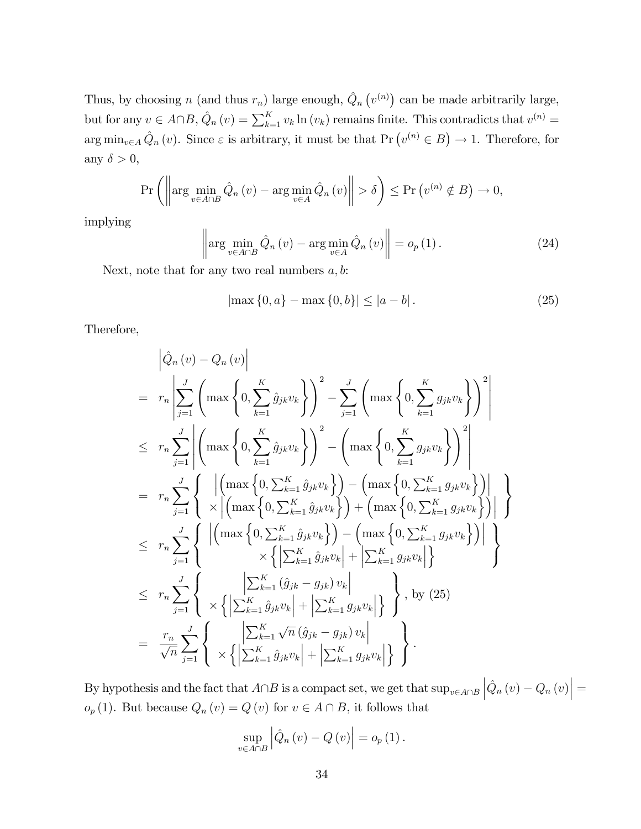Thus, by choosing n (and thus  $r_n$ ) large enough,  $\hat{Q}_n(v^{(n)})$  can be made arbitrarily large, but for any  $v \in A \cap B$ ,  $\hat{Q}_n(v) = \sum_{k=1}^K v_k \ln(v_k)$  remains finite. This contradicts that  $v^{(n)} =$  $\arg \min_{v \in A} \hat{Q}_n(v)$ . Since  $\varepsilon$  is arbitrary, it must be that  $\Pr(v^{(n)} \in B) \to 1$ . Therefore, for any  $\delta > 0$ ,

$$
\Pr\left(\left\|\arg\min_{v\in A\cap B}\hat{Q}_n\left(v\right)-\arg\min_{v\in A}\hat{Q}_n\left(v\right)\right\|>\delta\right)\leq \Pr\left(v^{(n)}\notin B\right)\to 0,
$$

implying

$$
\left\| \arg \min_{v \in A \cap B} \hat{Q}_n \left( v \right) - \arg \min_{v \in A} \hat{Q}_n \left( v \right) \right\| = o_p \left( 1 \right). \tag{24}
$$

Next, note that for any two real numbers  $a, b$ :

$$
|\max\{0, a\} - \max\{0, b\}| \le |a - b|.
$$
 (25)

Therefore,

$$
\left| \hat{Q}_{n}(v) - Q_{n}(v) \right|
$$
\n
$$
= r_{n} \left| \sum_{j=1}^{J} \left( \max \left\{ 0, \sum_{k=1}^{K} \hat{g}_{jk} v_{k} \right\} \right)^{2} - \sum_{j=1}^{J} \left( \max \left\{ 0, \sum_{k=1}^{K} g_{jk} v_{k} \right\} \right)^{2} \right|
$$
\n
$$
\leq r_{n} \sum_{j=1}^{J} \left| \left( \max \left\{ 0, \sum_{k=1}^{K} \hat{g}_{jk} v_{k} \right\} \right)^{2} - \left( \max \left\{ 0, \sum_{k=1}^{K} g_{jk} v_{k} \right\} \right)^{2} \right|
$$
\n
$$
= r_{n} \sum_{j=1}^{J} \left\{ \left| \left( \max \left\{ 0, \sum_{k=1}^{K} \hat{g}_{jk} v_{k} \right\} \right) - \left( \max \left\{ 0, \sum_{k=1}^{K} g_{jk} v_{k} \right\} \right) \right| \right\}
$$
\n
$$
\leq r_{n} \sum_{j=1}^{J} \left\{ \left| \left( \max \left\{ 0, \sum_{k=1}^{K} \hat{g}_{jk} v_{k} \right\} \right) - \left( \max \left\{ 0, \sum_{k=1}^{K} g_{jk} v_{k} \right\} \right) \right| \right\}
$$
\n
$$
\leq r_{n} \sum_{j=1}^{J} \left\{ \left| \left( \max \left\{ 0, \sum_{k=1}^{K} \hat{g}_{jk} v_{k} \right\} \right) - \left( \max \left\{ 0, \sum_{k=1}^{K} g_{jk} v_{k} \right\} \right) \right| \right\}
$$
\n
$$
\leq r_{n} \sum_{j=1}^{J} \left\{ \left| \left( \sum_{k=1}^{K} \hat{g}_{jk} v_{k} \right| + \left| \sum_{k=1}^{K} g_{jk} v_{k} \right| \right\} \right\}, \text{ by (25)}
$$
\n
$$
= \frac{r_{n}}{\sqrt{n}} \sum_{j=1}^{J} \left\{ \left| \left| \sum_{k=
$$

By hypothesis and the fact that  $A \cap B$  is a compact set, we get that  $\sup_{v \in A \cap B} |\hat{Q}_n(v) - Q_n(v)| =$  $o_p(1)$ . But because  $Q_n(v) = Q(v)$  for  $v \in A \cap B$ , it follows that

$$
\sup_{v \in A \cap B} \left| \hat{Q}_n(v) - Q(v) \right| = o_p(1).
$$